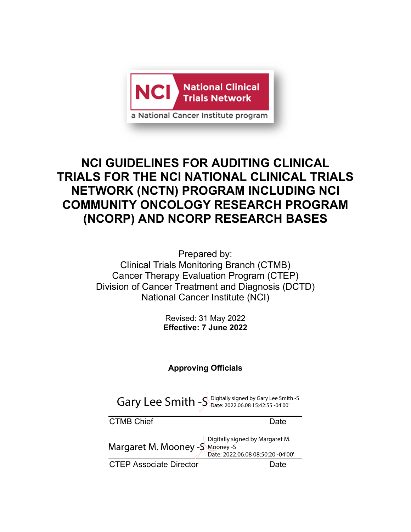

# **NCI GUIDELINES FOR AUDITING CLINICAL TRIALS FOR THE NCI NATIONAL CLINICAL TRIALS NETWORK (NCTN) PROGRAM INCLUDING NCI COMMUNITY ONCOLOGY RESEARCH PROGRAM (NCORP) AND NCORP RESEARCH BASES**

Prepared by: Clinical Trials Monitoring Branch (CTMB) Cancer Therapy Evaluation Program (CTEP) Division of Cancer Treatment and Diagnosis (DCTD) National Cancer Institute (NCI)

> Revised: 31 May 2022 **Effective: 7 June 2022**

# **Approving Officials**

CTMB Chief **Date** CTEP Associate Director **Date** Margaret M. Mooney -S Mooney -S Digitally signed by Margaret M. Date: 2022.06.08 08:50:20 -04'00' Gary Lee Smith  $-S$  Digitally signed by Gary Lee Smith -S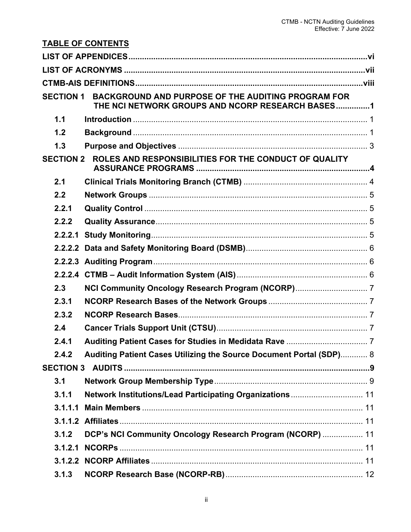| <b>TABLE OF CONTENTS</b>                                                                                                   |                                                                     |  |
|----------------------------------------------------------------------------------------------------------------------------|---------------------------------------------------------------------|--|
|                                                                                                                            |                                                                     |  |
|                                                                                                                            |                                                                     |  |
|                                                                                                                            |                                                                     |  |
| BACKGROUND AND PURPOSE OF THE AUDITING PROGRAM FOR<br><b>SECTION 1</b><br>THE NCI NETWORK GROUPS AND NCORP RESEARCH BASES1 |                                                                     |  |
| 1.1                                                                                                                        |                                                                     |  |
| 1.2                                                                                                                        |                                                                     |  |
| 1.3                                                                                                                        |                                                                     |  |
| ROLES AND RESPONSIBILITIES FOR THE CONDUCT OF QUALITY<br><b>SECTION 2</b>                                                  |                                                                     |  |
| 2.1                                                                                                                        |                                                                     |  |
| 2.2                                                                                                                        |                                                                     |  |
| 2.2.1                                                                                                                      |                                                                     |  |
| 2.2.2                                                                                                                      |                                                                     |  |
| 2.2.2.1                                                                                                                    |                                                                     |  |
|                                                                                                                            |                                                                     |  |
|                                                                                                                            |                                                                     |  |
|                                                                                                                            |                                                                     |  |
| 2.3                                                                                                                        |                                                                     |  |
| 2.3.1                                                                                                                      |                                                                     |  |
| 2.3.2                                                                                                                      |                                                                     |  |
| 2.4                                                                                                                        |                                                                     |  |
| 2.4.1                                                                                                                      |                                                                     |  |
| 2.4.2                                                                                                                      | Auditing Patient Cases Utilizing the Source Document Portal (SDP) 8 |  |
|                                                                                                                            |                                                                     |  |
| 3.1                                                                                                                        |                                                                     |  |
| 3.1.1                                                                                                                      | Network Institutions/Lead Participating Organizations 11            |  |
| 3.1.1.1                                                                                                                    |                                                                     |  |
|                                                                                                                            |                                                                     |  |
| 3.1.2                                                                                                                      | DCP's NCI Community Oncology Research Program (NCORP)  11           |  |
| 3.1.2.1                                                                                                                    |                                                                     |  |
|                                                                                                                            |                                                                     |  |
| 3.1.3                                                                                                                      |                                                                     |  |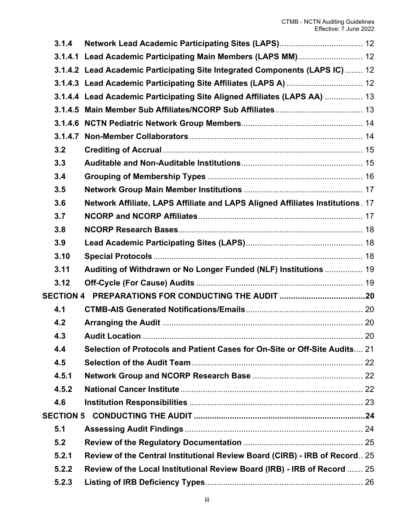| 3.1.4 |                                                                                |     |
|-------|--------------------------------------------------------------------------------|-----|
|       | 3.1.4.1 Lead Academic Participating Main Members (LAPS MM) 12                  |     |
|       | 3.1.4.2 Lead Academic Participating Site Integrated Components (LAPS IC)  12   |     |
|       |                                                                                |     |
|       | 3.1.4.4 Lead Academic Participating Site Aligned Affiliates (LAPS AA)  13      |     |
|       |                                                                                |     |
|       |                                                                                |     |
|       |                                                                                |     |
| 3.2   |                                                                                |     |
| 3.3   |                                                                                |     |
| 3.4   |                                                                                |     |
| 3.5   |                                                                                |     |
| 3.6   | Network Affiliate, LAPS Affiliate and LAPS Aligned Affiliates Institutions. 17 |     |
| 3.7   |                                                                                |     |
| 3.8   |                                                                                |     |
| 3.9   |                                                                                |     |
| 3.10  |                                                                                |     |
| 3.11  | Auditing of Withdrawn or No Longer Funded (NLF) Institutions  19               |     |
| 3.12  |                                                                                |     |
|       |                                                                                |     |
| 4.1   |                                                                                |     |
| 4.2   |                                                                                |     |
| 4.3   | <b>Audit Location</b>                                                          | -20 |
| 4.4   | Selection of Protocols and Patient Cases for On-Site or Off-Site Audits 21     |     |
| 4.5   |                                                                                |     |
| 4.5.1 |                                                                                |     |
| 4.5.2 |                                                                                |     |
| 4.6   |                                                                                |     |
|       |                                                                                |     |
| 5.1   |                                                                                |     |
| 5.2   |                                                                                |     |
| 5.2.1 | Review of the Central Institutional Review Board (CIRB) - IRB of Record 25     |     |
| 5.2.2 | Review of the Local Institutional Review Board (IRB) - IRB of Record  25       |     |
| 5.2.3 |                                                                                |     |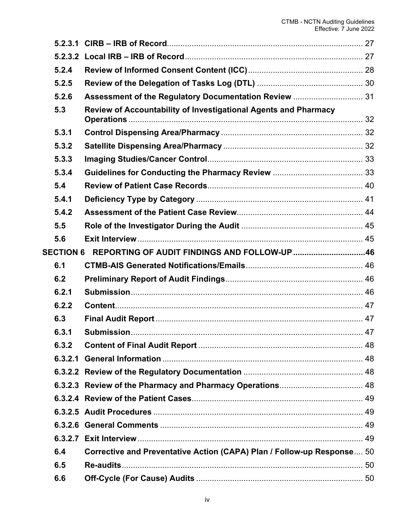| 5.2.4 |                                                                        |                                                        |
|-------|------------------------------------------------------------------------|--------------------------------------------------------|
| 5.2.5 |                                                                        |                                                        |
| 5.2.6 | Assessment of the Regulatory Documentation Review  31                  |                                                        |
| 5.3   | Review of Accountability of Investigational Agents and Pharmacy        |                                                        |
| 5.3.1 |                                                                        |                                                        |
| 5.3.2 |                                                                        |                                                        |
| 5.3.3 |                                                                        |                                                        |
| 5.3.4 |                                                                        |                                                        |
| 5.4   |                                                                        |                                                        |
| 5.4.1 |                                                                        |                                                        |
| 5.4.2 |                                                                        |                                                        |
| 5.5   |                                                                        |                                                        |
| 5.6   |                                                                        |                                                        |
|       |                                                                        |                                                        |
| 6.1   |                                                                        |                                                        |
| 6.2   |                                                                        |                                                        |
| 6.2.1 |                                                                        |                                                        |
| 6.2.2 |                                                                        |                                                        |
| 6.3   |                                                                        |                                                        |
| 6.3.1 |                                                                        |                                                        |
| 6.3.2 |                                                                        |                                                        |
|       |                                                                        |                                                        |
|       |                                                                        |                                                        |
|       |                                                                        |                                                        |
|       |                                                                        |                                                        |
|       |                                                                        |                                                        |
|       |                                                                        |                                                        |
|       |                                                                        |                                                        |
| 6.4   | Corrective and Preventative Action (CAPA) Plan / Follow-up Response 50 |                                                        |
| 6.5   |                                                                        |                                                        |
| 6.6   |                                                                        |                                                        |
|       |                                                                        | SECTION 6 REPORTING OF AUDIT FINDINGS AND FOLLOW-UP 46 |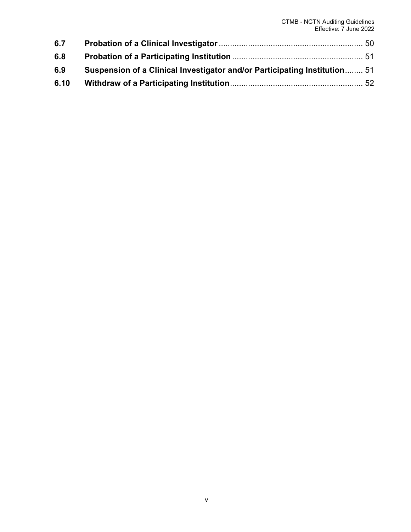| 6.7  |                                                                           |  |
|------|---------------------------------------------------------------------------|--|
| 6.8  |                                                                           |  |
| 6.9  | Suspension of a Clinical Investigator and/or Participating Institution 51 |  |
| 6.10 |                                                                           |  |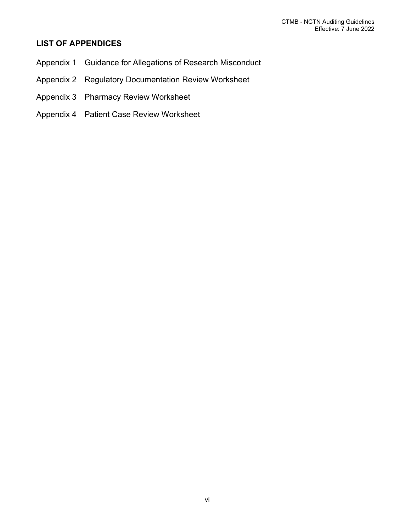# <span id="page-5-0"></span>**LIST OF APPENDICES**

- Appendix 1 Guidance for Allegations of Research Misconduct
- Appendix 2 Regulatory Documentation Review Worksheet
- Appendix 3 Pharmacy Review Worksheet
- Appendix 4 Patient Case Review Worksheet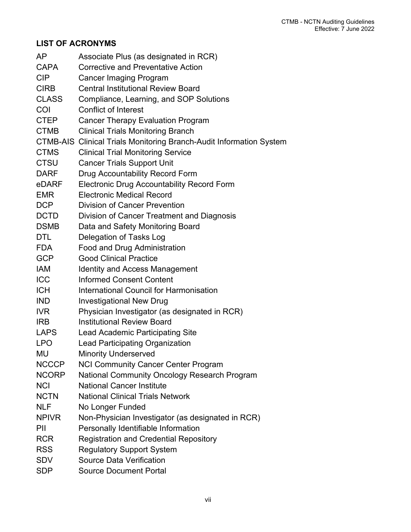# <span id="page-6-0"></span>**LIST OF ACRONYMS**

| AP           | Associate Plus (as designated in RCR)                                      |
|--------------|----------------------------------------------------------------------------|
| <b>CAPA</b>  | <b>Corrective and Preventative Action</b>                                  |
| <b>CIP</b>   | <b>Cancer Imaging Program</b>                                              |
| <b>CIRB</b>  | <b>Central Institutional Review Board</b>                                  |
| <b>CLASS</b> | Compliance, Learning, and SOP Solutions                                    |
| COI          | <b>Conflict of Interest</b>                                                |
| <b>CTEP</b>  | <b>Cancer Therapy Evaluation Program</b>                                   |
| <b>CTMB</b>  | <b>Clinical Trials Monitoring Branch</b>                                   |
|              | <b>CTMB-AIS Clinical Trials Monitoring Branch-Audit Information System</b> |
| <b>CTMS</b>  | <b>Clinical Trial Monitoring Service</b>                                   |
| <b>CTSU</b>  | <b>Cancer Trials Support Unit</b>                                          |
| <b>DARF</b>  | Drug Accountability Record Form                                            |
| eDARF        | <b>Electronic Drug Accountability Record Form</b>                          |
| <b>EMR</b>   | <b>Electronic Medical Record</b>                                           |
| <b>DCP</b>   | <b>Division of Cancer Prevention</b>                                       |
| <b>DCTD</b>  | Division of Cancer Treatment and Diagnosis                                 |
| <b>DSMB</b>  | Data and Safety Monitoring Board                                           |
| <b>DTL</b>   | Delegation of Tasks Log                                                    |
| <b>FDA</b>   | Food and Drug Administration                                               |
| <b>GCP</b>   | <b>Good Clinical Practice</b>                                              |
| <b>IAM</b>   | <b>Identity and Access Management</b>                                      |
| <b>ICC</b>   | <b>Informed Consent Content</b>                                            |
| <b>ICH</b>   | International Council for Harmonisation                                    |
| <b>IND</b>   | <b>Investigational New Drug</b>                                            |
| <b>IVR</b>   | Physician Investigator (as designated in RCR)                              |
| <b>IRB</b>   | <b>Institutional Review Board</b>                                          |
| <b>LAPS</b>  | <b>Lead Academic Participating Site</b>                                    |
| <b>LPO</b>   | <b>Lead Participating Organization</b>                                     |
| MU           | <b>Minority Underserved</b>                                                |
| <b>NCCCP</b> | <b>NCI Community Cancer Center Program</b>                                 |
| <b>NCORP</b> | National Community Oncology Research Program                               |
| <b>NCI</b>   | <b>National Cancer Institute</b>                                           |
| <b>NCTN</b>  | <b>National Clinical Trials Network</b>                                    |
| <b>NLF</b>   | No Longer Funded                                                           |
| <b>NPIVR</b> | Non-Physician Investigator (as designated in RCR)                          |
| PII          | Personally Identifiable Information                                        |
| <b>RCR</b>   | <b>Registration and Credential Repository</b>                              |
| <b>RSS</b>   | <b>Regulatory Support System</b>                                           |
| <b>SDV</b>   | <b>Source Data Verification</b>                                            |
| <b>SDP</b>   | <b>Source Document Portal</b>                                              |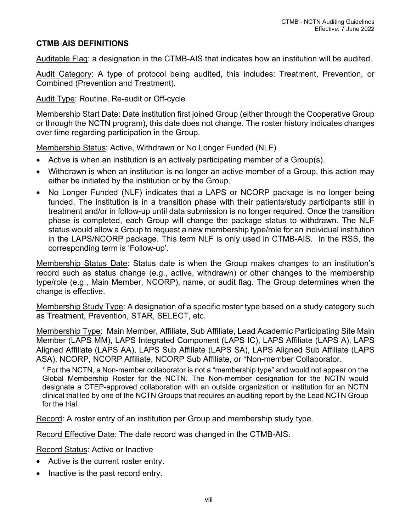## <span id="page-7-0"></span>**CTMB**-**AIS DEFINITIONS**

Auditable Flag: a designation in the CTMB-AIS that indicates how an institution will be audited.

Audit Category: A type of protocol being audited, this includes: Treatment, Prevention, or Combined (Prevention and Treatment).

Audit Type: Routine, Re-audit or Off-cycle

Membership Start Date: Date institution first joined Group (either through the Cooperative Group or through the NCTN program), this date does not change. The roster history indicates changes over time regarding participation in the Group.

Membership Status: Active, Withdrawn or No Longer Funded (NLF)

- Active is when an institution is an actively participating member of a Group(s).
- Withdrawn is when an institution is no longer an active member of a Group, this action may either be initiated by the institution or by the Group.
- No Longer Funded (NLF) indicates that a LAPS or NCORP package is no longer being funded. The institution is in a transition phase with their patients/study participants still in treatment and/or in follow-up until data submission is no longer required. Once the transition phase is completed, each Group will change the package status to withdrawn. The NLF status would allow a Group to request a new membership type/role for an individual institution in the LAPS/NCORP package. This term NLF is only used in CTMB-AIS. In the RSS, the corresponding term is 'Follow-up'.

Membership Status Date: Status date is when the Group makes changes to an institution's record such as status change (e.g., active, withdrawn) or other changes to the membership type/role (e.g., Main Member, NCORP), name, or audit flag. The Group determines when the change is effective.

Membership Study Type: A designation of a specific roster type based on a study category such as Treatment, Prevention, STAR, SELECT, etc.

Membership Type: Main Member, Affiliate, Sub Affiliate, Lead Academic Participating Site Main Member (LAPS MM), LAPS Integrated Component (LAPS IC), LAPS Affiliate (LAPS A), LAPS Aligned Affiliate (LAPS AA), LAPS Sub Affiliate (LAPS SA), LAPS Aligned Sub Affiliate (LAPS ASA), NCORP, NCORP Affiliate, NCORP Sub Affiliate, or \*Non-member Collaborator.

\* For the NCTN, a Non-member collaborator is not a "membership type" and would not appear on the Global Membership Roster for the NCTN. The Non-member designation for the NCTN would designate a CTEP-approved collaboration with an outside organization or institution for an NCTN clinical trial led by one of the NCTN Groups that requires an auditing report by the Lead NCTN Group for the trial.

Record: A roster entry of an institution per Group and membership study type.

Record Effective Date: The date record was changed in the CTMB-AIS.

Record Status: Active or Inactive

- Active is the current roster entry.
- Inactive is the past record entry.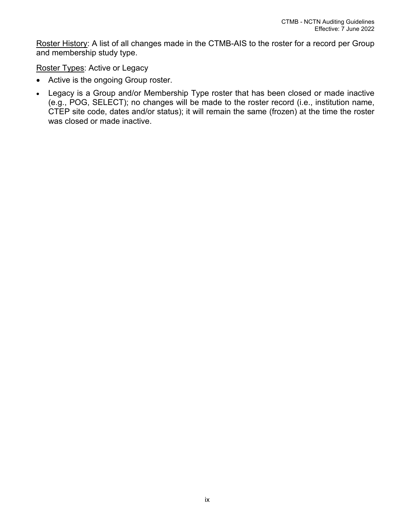Roster History: A list of all changes made in the CTMB-AIS to the roster for a record per Group and membership study type.

Roster Types: Active or Legacy

- Active is the ongoing Group roster.
- Legacy is a Group and/or Membership Type roster that has been closed or made inactive (e.g., POG, SELECT); no changes will be made to the roster record (i.e., institution name, CTEP site code, dates and/or status); it will remain the same (frozen) at the time the roster was closed or made inactive.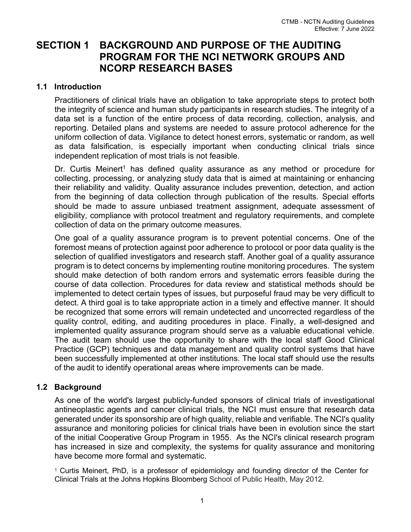# <span id="page-9-0"></span>**SECTION 1 BACKGROUND AND PURPOSE OF THE AUDITING PROGRAM FOR THE NCI NETWORK GROUPS AND NCORP RESEARCH BASES**

## <span id="page-9-1"></span>**1.1 Introduction**

Practitioners of clinical trials have an obligation to take appropriate steps to protect both the integrity of science and human study participants in research studies. The integrity of a data set is a function of the entire process of data recording, collection, analysis, and reporting. Detailed plans and systems are needed to assure protocol adherence for the uniform collection of data. Vigilance to detect honest errors, systematic or random, as well as data falsification, is especially important when conducting clinical trials since independent replication of most trials is not feasible.

Dr. Curtis Meinert<sup>1</sup> has defined quality assurance as any method or procedure for collecting, processing, or analyzing study data that is aimed at maintaining or enhancing their reliability and validity. Quality assurance includes prevention, detection, and action from the beginning of data collection through publication of the results. Special efforts should be made to assure unbiased treatment assignment, adequate assessment of eligibility, compliance with protocol treatment and regulatory requirements, and complete collection of data on the primary outcome measures.

One goal of a quality assurance program is to prevent potential concerns. One of the foremost means of protection against poor adherence to protocol or poor data quality is the selection of qualified investigators and research staff. Another goal of a quality assurance program is to detect concerns by implementing routine monitoring procedures. The system should make detection of both random errors and systematic errors feasible during the course of data collection. Procedures for data review and statistical methods should be implemented to detect certain types of issues, but purposeful fraud may be very difficult to detect. A third goal is to take appropriate action in a timely and effective manner. It should be recognized that some errors will remain undetected and uncorrected regardless of the quality control, editing, and auditing procedures in place. Finally, a well-designed and implemented quality assurance program should serve as a valuable educational vehicle. The audit team should use the opportunity to share with the local staff Good Clinical Practice (GCP) techniques and data management and quality control systems that have been successfully implemented at other institutions. The local staff should use the results of the audit to identify operational areas where improvements can be made.

## <span id="page-9-2"></span>**1.2 Background**

As one of the world's largest publicly-funded sponsors of clinical trials of investigational antineoplastic agents and cancer clinical trials, the NCI must ensure that research data generated under its sponsorship are of high quality, reliable and verifiable. The NCI's quality assurance and monitoring policies for clinical trials have been in evolution since the start of the initial Cooperative Group Program in 1955. As the NCI's clinical research program has increased in size and complexity, the systems for quality assurance and monitoring have become more formal and systematic.

<sup>1</sup> Curtis Meinert, PhD, is a professor of epidemiology and founding director of the Center for Clinical Trials at the Johns Hopkins Bloomberg School of Public Health, May 2012.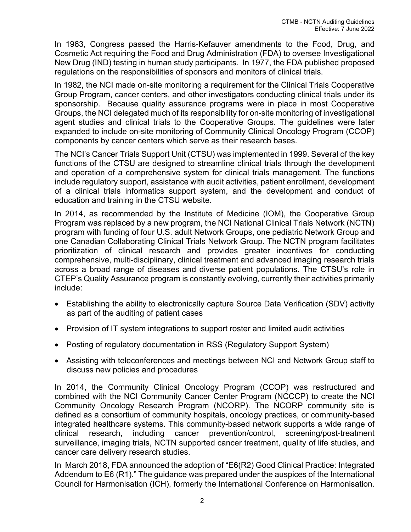In 1963, Congress passed the Harris-Kefauver amendments to the Food, Drug, and Cosmetic Act requiring the Food and Drug Administration (FDA) to oversee Investigational New Drug (IND) testing in human study participants. In 1977, the FDA published proposed regulations on the responsibilities of sponsors and monitors of clinical trials.

In 1982, the NCI made on-site monitoring a requirement for the Clinical Trials Cooperative Group Program, cancer centers, and other investigators conducting clinical trials under its sponsorship. Because quality assurance programs were in place in most Cooperative Groups, the NCI delegated much of its responsibility for on-site monitoring of investigational agent studies and clinical trials to the Cooperative Groups. The guidelines were later expanded to include on-site monitoring of Community Clinical Oncology Program (CCOP) components by cancer centers which serve as their research bases.

The NCI's Cancer Trials Support Unit (CTSU) was implemented in 1999. Several of the key functions of the CTSU are designed to streamline clinical trials through the development and operation of a comprehensive system for clinical trials management. The functions include regulatory support, assistance with audit activities, patient enrollment, development of a clinical trials informatics support system, and the development and conduct of education and training in the CTSU website.

In 2014, as recommended by the Institute of Medicine (IOM), the Cooperative Group Program was replaced by a new program, the NCI National Clinical Trials Network (NCTN) program with funding of four U.S. adult Network Groups, one pediatric Network Group and one Canadian Collaborating Clinical Trials Network Group. The NCTN program facilitates prioritization of clinical research and provides greater incentives for conducting comprehensive, multi-disciplinary, clinical treatment and advanced imaging research trials across a broad range of diseases and diverse patient populations. The CTSU's role in CTEP's Quality Assurance program is constantly evolving, currently their activities primarily include:

- Establishing the ability to electronically capture Source Data Verification (SDV) activity as part of the auditing of patient cases
- Provision of IT system integrations to support roster and limited audit activities
- Posting of regulatory documentation in RSS (Regulatory Support System)
- Assisting with teleconferences and meetings between NCI and Network Group staff to discuss new policies and procedures

In 2014, the Community Clinical Oncology Program (CCOP) was restructured and combined with the NCI Community Cancer Center Program (NCCCP) to create the NCI Community Oncology Research Program (NCORP). The NCORP community site is defined as a consortium of community hospitals, oncology practices, or community-based integrated healthcare systems. This community-based network supports a wide range of clinical research, including cancer prevention/control, screening/post-treatment surveillance, imaging trials, NCTN supported cancer treatment, quality of life studies, and cancer care delivery research studies.

In March 2018, FDA announced the adoption of "E6(R2) Good Clinical Practice: Integrated Addendum to E6 (R1)." The guidance was prepared under the auspices of the International Council for Harmonisation (ICH), formerly the International Conference on Harmonisation.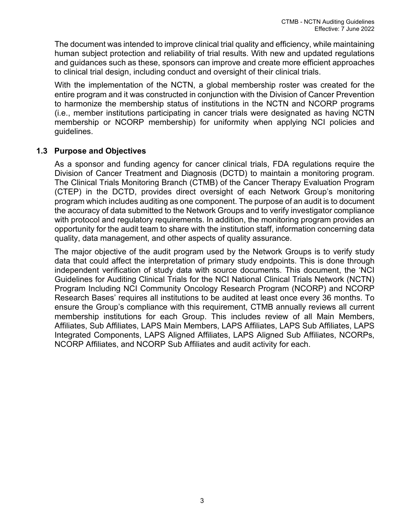The document was intended to improve clinical trial quality and efficiency, while maintaining human subject protection and reliability of trial results. With new and updated regulations and guidances such as these, sponsors can improve and create more efficient approaches to clinical trial design, including conduct and oversight of their clinical trials.

With the implementation of the NCTN, a global membership roster was created for the entire program and it was constructed in conjunction with the Division of Cancer Prevention to harmonize the membership status of institutions in the NCTN and NCORP programs (i.e., member institutions participating in cancer trials were designated as having NCTN membership or NCORP membership) for uniformity when applying NCI policies and guidelines.

## <span id="page-11-0"></span>**1.3 Purpose and Objectives**

As a sponsor and funding agency for cancer clinical trials, FDA regulations require the Division of Cancer Treatment and Diagnosis (DCTD) to maintain a monitoring program. The Clinical Trials Monitoring Branch (CTMB) of the Cancer Therapy Evaluation Program (CTEP) in the DCTD, provides direct oversight of each Network Group's monitoring program which includes auditing as one component. The purpose of an audit is to document the accuracy of data submitted to the Network Groups and to verify investigator compliance with protocol and regulatory requirements. In addition, the monitoring program provides an opportunity for the audit team to share with the institution staff, information concerning data quality, data management, and other aspects of quality assurance.

The major objective of the audit program used by the Network Groups is to verify study data that could affect the interpretation of primary study endpoints. This is done through independent verification of study data with source documents. This document, the 'NCI Guidelines for Auditing Clinical Trials for the NCI National Clinical Trials Network (NCTN) Program Including NCI Community Oncology Research Program (NCORP) and NCORP Research Bases' requires all institutions to be audited at least once every 36 months. To ensure the Group's compliance with this requirement, CTMB annually reviews all current membership institutions for each Group. This includes review of all Main Members, Affiliates, Sub Affiliates, LAPS Main Members, LAPS Affiliates, LAPS Sub Affiliates, LAPS Integrated Components, LAPS Aligned Affiliates, LAPS Aligned Sub Affiliates, NCORPs, NCORP Affiliates, and NCORP Sub Affiliates and audit activity for each.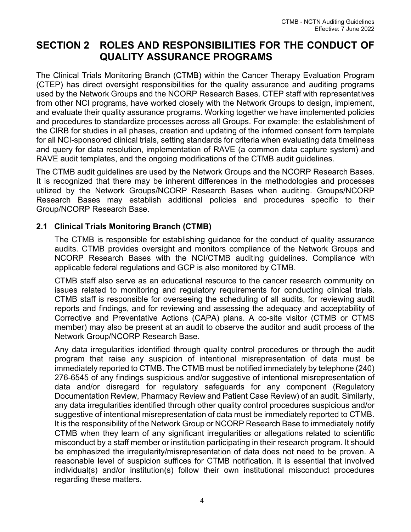# <span id="page-12-0"></span>**SECTION 2 ROLES AND RESPONSIBILITIES FOR THE CONDUCT OF QUALITY ASSURANCE PROGRAMS**

The Clinical Trials Monitoring Branch (CTMB) within the Cancer Therapy Evaluation Program (CTEP) has direct oversight responsibilities for the quality assurance and auditing programs used by the Network Groups and the NCORP Research Bases. CTEP staff with representatives from other NCI programs, have worked closely with the Network Groups to design, implement, and evaluate their quality assurance programs. Working together we have implemented policies and procedures to standardize processes across all Groups. For example: the establishment of the CIRB for studies in all phases, creation and updating of the informed consent form template for all NCI-sponsored clinical trials, setting standards for criteria when evaluating data timeliness and query for data resolution, implementation of RAVE (a common data capture system) and RAVE audit templates, and the ongoing modifications of the CTMB audit guidelines.

The CTMB audit guidelines are used by the Network Groups and the NCORP Research Bases. It is recognized that there may be inherent differences in the methodologies and processes utilized by the Network Groups/NCORP Research Bases when auditing. Groups/NCORP Research Bases may establish additional policies and procedures specific to their Group/NCORP Research Base.

## <span id="page-12-1"></span>**2.1 Clinical Trials Monitoring Branch (CTMB)**

The CTMB is responsible for establishing guidance for the conduct of quality assurance audits. CTMB provides oversight and monitors compliance of the Network Groups and NCORP Research Bases with the NCI/CTMB auditing guidelines. Compliance with applicable federal regulations and GCP is also monitored by CTMB.

CTMB staff also serve as an educational resource to the cancer research community on issues related to monitoring and regulatory requirements for conducting clinical trials. CTMB staff is responsible for overseeing the scheduling of all audits, for reviewing audit reports and findings, and for reviewing and assessing the adequacy and acceptability of Corrective and Preventative Actions (CAPA) plans. A co-site visitor (CTMB or CTMS member) may also be present at an audit to observe the auditor and audit process of the Network Group/NCORP Research Base.

Any data irregularities identified through quality control procedures or through the audit program that raise any suspicion of intentional misrepresentation of data must be immediately reported to CTMB. The CTMB must be notified immediately by telephone (240) 276-6545 of any findings suspicious and/or suggestive of intentional misrepresentation of data and/or disregard for regulatory safeguards for any component (Regulatory Documentation Review, Pharmacy Review and Patient Case Review) of an audit. Similarly, any data irregularities identified through other quality control procedures suspicious and/or suggestive of intentional misrepresentation of data must be immediately reported to CTMB. It is the responsibility of the Network Group or NCORP Research Base to immediately notify CTMB when they learn of any significant irregularities or allegations related to scientific misconduct by a staff member or institution participating in their research program. It should be emphasized the irregularity/misrepresentation of data does not need to be proven. A reasonable level of suspicion suffices for CTMB notification. It is essential that involved individual(s) and/or institution(s) follow their own institutional misconduct procedures regarding these matters.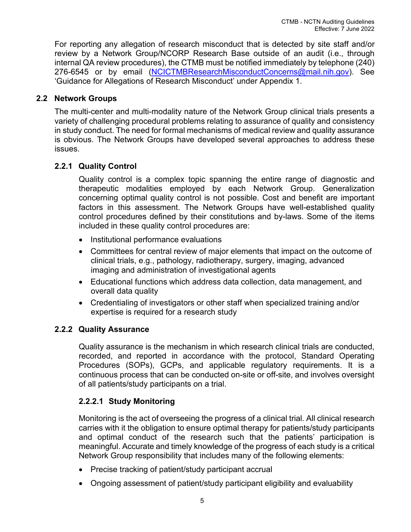For reporting any allegation of research misconduct that is detected by site staff and/or review by a Network Group/NCORP Research Base outside of an audit (i.e., through internal QA review procedures), the CTMB must be notified immediately by telephone (240) 276-6545 or by email [\(NCICTMBResearchMisconductConcerns@mail.nih.gov\)](mailto:NCICTMBResearchMisconductConcerns@mail.nih.gov). See 'Guidance for Allegations of Research Misconduct' under Appendix 1.

# <span id="page-13-0"></span>**2.2 Network Groups**

The multi-center and multi-modality nature of the Network Group clinical trials presents a variety of challenging procedural problems relating to assurance of quality and consistency in study conduct. The need for formal mechanisms of medical review and quality assurance is obvious. The Network Groups have developed several approaches to address these issues.

## <span id="page-13-1"></span>**2.2.1 Quality Control**

Quality control is a complex topic spanning the entire range of diagnostic and therapeutic modalities employed by each Network Group. Generalization concerning optimal quality control is not possible. Cost and benefit are important factors in this assessment. The Network Groups have well-established quality control procedures defined by their constitutions and by-laws. Some of the items included in these quality control procedures are:

- Institutional performance evaluations
- Committees for central review of major elements that impact on the outcome of clinical trials, e.g., pathology, radiotherapy, surgery, imaging, advanced imaging and administration of investigational agents
- Educational functions which address data collection, data management, and overall data quality
- Credentialing of investigators or other staff when specialized training and/or expertise is required for a research study

## <span id="page-13-2"></span>**2.2.2 Quality Assurance**

Quality assurance is the mechanism in which research clinical trials are conducted, recorded, and reported in accordance with the protocol, Standard Operating Procedures (SOPs), GCPs, and applicable regulatory requirements. It is a continuous process that can be conducted on-site or off-site, and involves oversight of all patients/study participants on a trial.

## <span id="page-13-3"></span>**2.2.2.1 Study Monitoring**

Monitoring is the act of overseeing the progress of a clinical trial. All clinical research carries with it the obligation to ensure optimal therapy for patients/study participants and optimal conduct of the research such that the patients' participation is meaningful. Accurate and timely knowledge of the progress of each study is a critical Network Group responsibility that includes many of the following elements:

- Precise tracking of patient/study participant accrual
- Ongoing assessment of patient/study participant eligibility and evaluability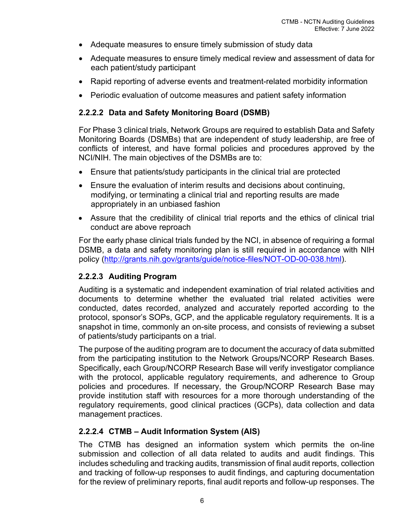- Adequate measures to ensure timely submission of study data
- Adequate measures to ensure timely medical review and assessment of data for each patient/study participant
- Rapid reporting of adverse events and treatment-related morbidity information
- Periodic evaluation of outcome measures and patient safety information

# <span id="page-14-0"></span>**2.2.2.2 Data and Safety Monitoring Board (DSMB)**

For Phase 3 clinical trials, Network Groups are required to establish Data and Safety Monitoring Boards (DSMBs) that are independent of study leadership, are free of conflicts of interest, and have formal policies and procedures approved by the NCI/NIH. The main objectives of the DSMBs are to:

- Ensure that patients/study participants in the clinical trial are protected
- Ensure the evaluation of interim results and decisions about continuing, modifying, or terminating a clinical trial and reporting results are made appropriately in an unbiased fashion
- Assure that the credibility of clinical trial reports and the ethics of clinical trial conduct are above reproach

For the early phase clinical trials funded by the NCI, in absence of requiring a formal DSMB, a data and safety monitoring plan is still required in accordance with NIH policy [\(http://grants.nih.gov/grants/guide/notice-files/NOT-OD-00-038.html\)](http://grants.nih.gov/grants/guide/notice-files/NOT-OD-00-038.html).

# <span id="page-14-1"></span>**2.2.2.3 Auditing Program**

Auditing is a systematic and independent examination of trial related activities and documents to determine whether the evaluated trial related activities were conducted, dates recorded, analyzed and accurately reported according to the protocol, sponsor's SOPs, GCP, and the applicable regulatory requirements. It is a snapshot in time, commonly an on-site process, and consists of reviewing a subset of patients/study participants on a trial.

The purpose of the auditing program are to document the accuracy of data submitted from the participating institution to the Network Groups/NCORP Research Bases. Specifically, each Group/NCORP Research Base will verify investigator compliance with the protocol, applicable regulatory requirements, and adherence to Group policies and procedures. If necessary, the Group/NCORP Research Base may provide institution staff with resources for a more thorough understanding of the regulatory requirements, good clinical practices (GCPs), data collection and data management practices.

# <span id="page-14-2"></span>**2.2.2.4 CTMB – Audit Information System (AIS)**

The CTMB has designed an information system which permits the on-line submission and collection of all data related to audits and audit findings. This includes scheduling and tracking audits, transmission of final audit reports, collection and tracking of follow-up responses to audit findings, and capturing documentation for the review of preliminary reports, final audit reports and follow-up responses. The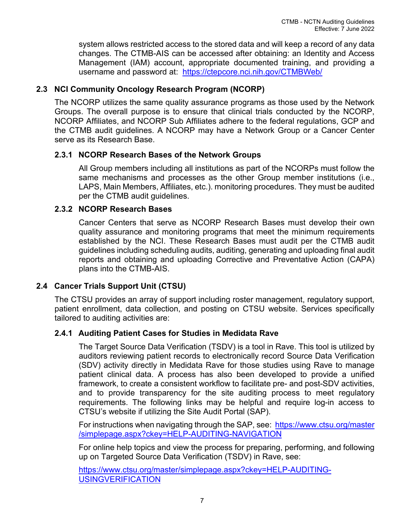system allows restricted access to the stored data and will keep a record of any data changes. The CTMB-AIS can be accessed after obtaining: an Identity and Access Management (IAM) account, appropriate documented training, and providing a username and password at: <https://ctepcore.nci.nih.gov/CTMBWeb/>

# <span id="page-15-0"></span>**2.3 NCI Community Oncology Research Program (NCORP)**

The NCORP utilizes the same quality assurance programs as those used by the Network Groups. The overall purpose is to ensure that clinical trials conducted by the NCORP, NCORP Affiliates, and NCORP Sub Affiliates adhere to the federal regulations, GCP and the CTMB audit guidelines. A NCORP may have a Network Group or a Cancer Center serve as its Research Base.

## <span id="page-15-1"></span>**2.3.1 NCORP Research Bases of the Network Groups**

All Group members including all institutions as part of the NCORPs must follow the same mechanisms and processes as the other Group member institutions (i.e., LAPS, Main Members, Affiliates, etc.). monitoring procedures. They must be audited per the CTMB audit guidelines.

## <span id="page-15-2"></span>**2.3.2 NCORP Research Bases**

Cancer Centers that serve as NCORP Research Bases must develop their own quality assurance and monitoring programs that meet the minimum requirements established by the NCI. These Research Bases must audit per the CTMB audit guidelines including scheduling audits, auditing, generating and uploading final audit reports and obtaining and uploading Corrective and Preventative Action (CAPA) plans into the CTMB-AIS.

# <span id="page-15-3"></span>**2.4 Cancer Trials Support Unit (CTSU)**

The CTSU provides an array of support including roster management, regulatory support, patient enrollment, data collection, and posting on CTSU website. Services specifically tailored to auditing activities are:

## <span id="page-15-4"></span>**2.4.1 Auditing Patient Cases for Studies in Medidata Rave**

The Target Source Data Verification (TSDV) is a tool in Rave. This tool is utilized by auditors reviewing patient records to electronically record Source Data Verification (SDV) activity directly in Medidata Rave for those studies using Rave to manage patient clinical data. A process has also been developed to provide a unified framework, to create a consistent workflow to facilitate pre- and post-SDV activities, and to provide transparency for the site auditing process to meet regulatory requirements. The following links may be helpful and require log-in access to CTSU's website if utilizing the Site Audit Portal (SAP).

For instructions when navigating through the SAP, see: [https://www.ctsu.org/master](https://www.ctsu.org/master/simplepage.aspx?ckey=HELP-AUDITING-NAVIGATION) [/simplepage.aspx?ckey=HELP-AUDITING-NAVIGATION](https://www.ctsu.org/master/simplepage.aspx?ckey=HELP-AUDITING-NAVIGATION)

For online help topics and view the process for preparing, performing, and following up on Targeted Source Data Verification (TSDV) in Rave, see:

[https://www.ctsu.org/master/simplepage.aspx?ckey=HELP-AUDITING-](https://www.ctsu.org/master/simplepage.aspx?ckey=HELP-AUDITING-USINGVERIFICATION)[USINGVERIFICATION](https://www.ctsu.org/master/simplepage.aspx?ckey=HELP-AUDITING-USINGVERIFICATION)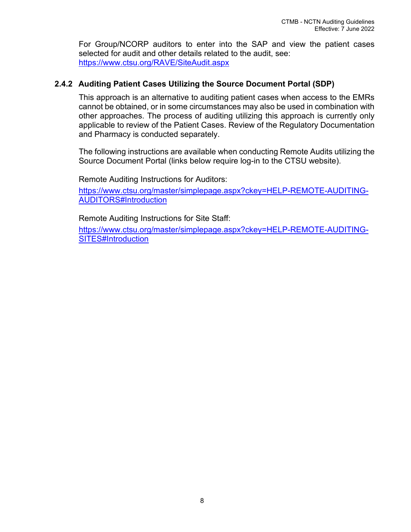For Group/NCORP auditors to enter into the SAP and view the patient cases selected for audit and other details related to the audit, see: <https://www.ctsu.org/RAVE/SiteAudit.aspx>

## <span id="page-16-1"></span><span id="page-16-0"></span>**2.4.2 Auditing Patient Cases Utilizing the Source Document Portal (SDP)**

This approach is an alternative to auditing patient cases when access to the EMRs cannot be obtained, or in some circumstances may also be used in combination with other approaches. The process of auditing utilizing this approach is currently only applicable to review of the Patient Cases. Review of the Regulatory Documentation and Pharmacy is conducted separately.

The following instructions are available when conducting Remote Audits utilizing the Source Document Portal (links below require log-in to the CTSU website).

Remote Auditing Instructions for Auditors:

[https://www.ctsu.org/master/simplepage.aspx?ckey=HELP-REMOTE-AUDITING-](https://www.ctsu.org/master/simplepage.aspx?ckey=HELP-REMOTE-AUDITING-AUDITORS#Introduction)[AUDITORS#Introduction](https://www.ctsu.org/master/simplepage.aspx?ckey=HELP-REMOTE-AUDITING-AUDITORS#Introduction)

Remote Auditing Instructions for Site Staff:

[https://www.ctsu.org/master/simplepage.aspx?ckey=HELP-REMOTE-AUDITING-](https://www.ctsu.org/master/simplepage.aspx?ckey=HELP-REMOTE-AUDITING-SITES#Introduction)[SITES#Introduction](https://www.ctsu.org/master/simplepage.aspx?ckey=HELP-REMOTE-AUDITING-SITES#Introduction)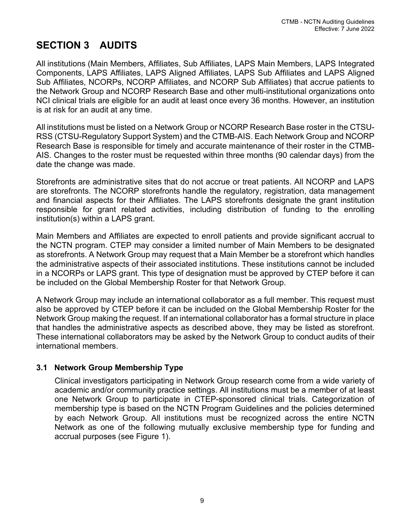# <span id="page-17-0"></span>**SECTION 3 AUDITS**

All institutions (Main Members, Affiliates, Sub Affiliates, LAPS Main Members, LAPS Integrated Components, LAPS Affiliates, LAPS Aligned Affiliates, LAPS Sub Affiliates and LAPS Aligned Sub Affiliates, NCORPs, NCORP Affiliates, and NCORP Sub Affiliates) that accrue patients to the Network Group and NCORP Research Base and other multi-institutional organizations onto NCI clinical trials are eligible for an audit at least once every 36 months. However, an institution is at risk for an audit at any time.

All institutions must be listed on a Network Group or NCORP Research Base roster in the CTSU-RSS (CTSU-Regulatory Support System) and the CTMB-AIS. Each Network Group and NCORP Research Base is responsible for timely and accurate maintenance of their roster in the CTMB-AIS. Changes to the roster must be requested within three months (90 calendar days) from the date the change was made.

Storefronts are administrative sites that do not accrue or treat patients. All NCORP and LAPS are storefronts. The NCORP storefronts handle the regulatory, registration, data management and financial aspects for their Affiliates. The LAPS storefronts designate the grant institution responsible for grant related activities, including distribution of funding to the enrolling institution(s) within a LAPS grant.

Main Members and Affiliates are expected to enroll patients and provide significant accrual to the NCTN program. CTEP may consider a limited number of Main Members to be designated as storefronts. A Network Group may request that a Main Member be a storefront which handles the administrative aspects of their associated institutions. These institutions cannot be included in a NCORPs or LAPS grant. This type of designation must be approved by CTEP before it can be included on the Global Membership Roster for that Network Group.

A Network Group may include an international collaborator as a full member. This request must also be approved by CTEP before it can be included on the Global Membership Roster for the Network Group making the request. If an international collaborator has a formal structure in place that handles the administrative aspects as described above, they may be listed as storefront. These international collaborators may be asked by the Network Group to conduct audits of their international members.

# <span id="page-17-1"></span>**3.1 Network Group Membership Type**

Clinical investigators participating in Network Group research come from a wide variety of academic and/or community practice settings. All institutions must be a member of at least one Network Group to participate in CTEP-sponsored clinical trials. Categorization of membership type is based on the NCTN Program Guidelines and the policies determined by each Network Group. All institutions must be recognized across the entire NCTN Network as one of the following mutually exclusive membership type for funding and accrual purposes (see Figure 1).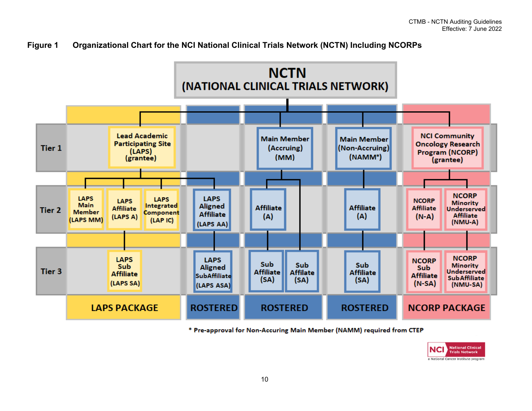



\* Pre-approval for Non-Accuring Main Member (NAMM) required from CTEP

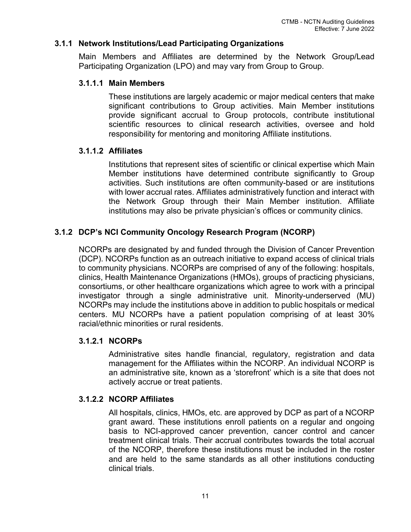## <span id="page-19-1"></span><span id="page-19-0"></span>**3.1.1 Network Institutions/Lead Participating Organizations**

Main Members and Affiliates are determined by the Network Group/Lead Participating Organization (LPO) and may vary from Group to Group.

## **3.1.1.1 Main Members**

These institutions are largely academic or major medical centers that make significant contributions to Group activities. Main Member institutions provide significant accrual to Group protocols, contribute institutional scientific resources to clinical research activities, oversee and hold responsibility for mentoring and monitoring Affiliate institutions.

## <span id="page-19-2"></span>**3.1.1.2 Affiliates**

Institutions that represent sites of scientific or clinical expertise which Main Member institutions have determined contribute significantly to Group activities. Such institutions are often community-based or are institutions with lower accrual rates. Affiliates administratively function and interact with the Network Group through their Main Member institution. Affiliate institutions may also be private physician's offices or community clinics.

## <span id="page-19-3"></span>**3.1.2 DCP's NCI Community Oncology Research Program (NCORP)**

NCORPs are designated by and funded through the Division of Cancer Prevention (DCP). NCORPs function as an outreach initiative to expand access of clinical trials to community physicians. NCORPs are comprised of any of the following: hospitals, clinics, Health Maintenance Organizations (HMOs), groups of practicing physicians, consortiums, or other healthcare organizations which agree to work with a principal investigator through a single administrative unit. Minority-underserved (MU) NCORPs may include the institutions above in addition to public hospitals or medical centers. MU NCORPs have a patient population comprising of at least 30% racial/ethnic minorities or rural residents.

#### <span id="page-19-4"></span>**3.1.2.1 NCORPs**

Administrative sites handle financial, regulatory, registration and data management for the Affiliates within the NCORP. An individual NCORP is an administrative site, known as a 'storefront' which is a site that does not actively accrue or treat patients.

## <span id="page-19-5"></span>**3.1.2.2 NCORP Affiliates**

All hospitals, clinics, HMOs, etc. are approved by DCP as part of a NCORP grant award. These institutions enroll patients on a regular and ongoing basis to NCI-approved cancer prevention, cancer control and cancer treatment clinical trials. Their accrual contributes towards the total accrual of the NCORP, therefore these institutions must be included in the roster and are held to the same standards as all other institutions conducting clinical trials.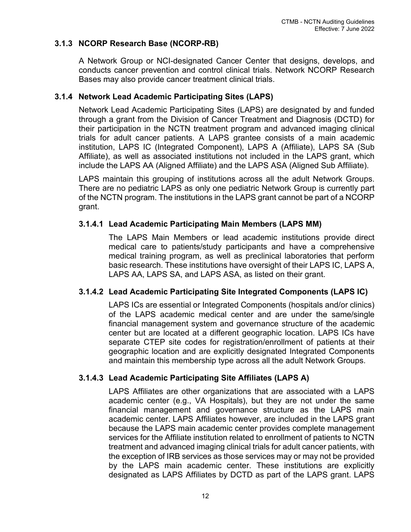## <span id="page-20-0"></span>**3.1.3 NCORP Research Base (NCORP-RB)**

A Network Group or NCI-designated Cancer Center that designs, develops, and conducts cancer prevention and control clinical trials. Network NCORP Research Bases may also provide cancer treatment clinical trials.

## <span id="page-20-1"></span>**3.1.4 Network Lead Academic Participating Sites (LAPS)**

Network Lead Academic Participating Sites (LAPS) are designated by and funded through a grant from the Division of Cancer Treatment and Diagnosis (DCTD) for their participation in the NCTN treatment program and advanced imaging clinical trials for adult cancer patients. A LAPS grantee consists of a main academic institution, LAPS IC (Integrated Component), LAPS A (Affiliate), LAPS SA (Sub Affiliate), as well as associated institutions not included in the LAPS grant, which include the LAPS AA (Aligned Affiliate) and the LAPS ASA (Aligned Sub Affiliate).

LAPS maintain this grouping of institutions across all the adult Network Groups. There are no pediatric LAPS as only one pediatric Network Group is currently part of the NCTN program. The institutions in the LAPS grant cannot be part of a NCORP grant.

## <span id="page-20-2"></span>**3.1.4.1 Lead Academic Participating Main Members (LAPS MM)**

The LAPS Main Members or lead academic institutions provide direct medical care to patients/study participants and have a comprehensive medical training program, as well as preclinical laboratories that perform basic research. These institutions have oversight of their LAPS IC, LAPS A, LAPS AA, LAPS SA, and LAPS ASA, as listed on their grant.

## <span id="page-20-3"></span>**3.1.4.2 Lead Academic Participating Site Integrated Components (LAPS IC)**

LAPS ICs are essential or Integrated Components (hospitals and/or clinics) of the LAPS academic medical center and are under the same/single financial management system and governance structure of the academic center but are located at a different geographic location. LAPS ICs have separate CTEP site codes for registration/enrollment of patients at their geographic location and are explicitly designated Integrated Components and maintain this membership type across all the adult Network Groups.

# <span id="page-20-4"></span>**3.1.4.3 Lead Academic Participating Site Affiliates (LAPS A)**

LAPS Affiliates are other organizations that are associated with a LAPS academic center (e.g., VA Hospitals), but they are not under the same financial management and governance structure as the LAPS main academic center. LAPS Affiliates however, are included in the LAPS grant because the LAPS main academic center provides complete management services for the Affiliate institution related to enrollment of patients to NCTN treatment and advanced imaging clinical trials for adult cancer patients, with the exception of IRB services as those services may or may not be provided by the LAPS main academic center. These institutions are explicitly designated as LAPS Affiliates by DCTD as part of the LAPS grant. LAPS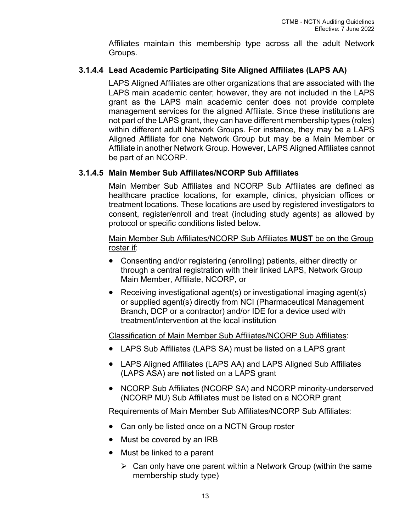Affiliates maintain this membership type across all the adult Network Groups.

# <span id="page-21-0"></span>**3.1.4.4 Lead Academic Participating Site Aligned Affiliates (LAPS AA)**

LAPS Aligned Affiliates are other organizations that are associated with the LAPS main academic center; however, they are not included in the LAPS grant as the LAPS main academic center does not provide complete management services for the aligned Affiliate. Since these institutions are not part of the LAPS grant, they can have different membership types (roles) within different adult Network Groups. For instance, they may be a LAPS Aligned Affiliate for one Network Group but may be a Main Member or Affiliate in another Network Group. However, LAPS Aligned Affiliates cannot be part of an NCORP.

## <span id="page-21-1"></span>**3.1.4.5 Main Member Sub Affiliates/NCORP Sub Affiliates**

Main Member Sub Affiliates and NCORP Sub Affiliates are defined as healthcare practice locations, for example, clinics, physician offices or treatment locations. These locations are used by registered investigators to consent, register/enroll and treat (including study agents) as allowed by protocol or specific conditions listed below.

## Main Member Sub Affiliates/NCORP Sub Affiliates **MUST** be on the Group roster if:

- Consenting and/or registering (enrolling) patients, either directly or through a central registration with their linked LAPS, Network Group Main Member, Affiliate, NCORP, or
- Receiving investigational agent(s) or investigational imaging agent(s) or supplied agent(s) directly from NCI (Pharmaceutical Management Branch, DCP or a contractor) and/or IDE for a device used with treatment/intervention at the local institution

## Classification of Main Member Sub Affiliates/NCORP Sub Affiliates:

- LAPS Sub Affiliates (LAPS SA) must be listed on a LAPS grant
- LAPS Aligned Affiliates (LAPS AA) and LAPS Aligned Sub Affiliates (LAPS ASA) are **not** listed on a LAPS grant
- NCORP Sub Affiliates (NCORP SA) and NCORP minority-underserved (NCORP MU) Sub Affiliates must be listed on a NCORP grant

Requirements of Main Member Sub Affiliates/NCORP Sub Affiliates:

- Can only be listed once on a NCTN Group roster
- Must be covered by an IRB
- Must be linked to a parent
	- $\triangleright$  Can only have one parent within a Network Group (within the same membership study type)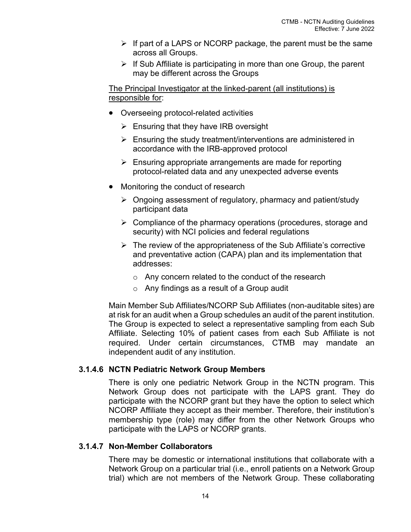- $\triangleright$  If part of a LAPS or NCORP package, the parent must be the same across all Groups.
- $\triangleright$  If Sub Affiliate is participating in more than one Group, the parent may be different across the Groups

The Principal Investigator at the linked-parent (all institutions) is responsible for:

- Overseeing protocol-related activities
	- $\triangleright$  Ensuring that they have IRB oversight
	- $\triangleright$  Ensuring the study treatment/interventions are administered in accordance with the IRB-approved protocol
	- $\triangleright$  Ensuring appropriate arrangements are made for reporting protocol-related data and any unexpected adverse events
- Monitoring the conduct of research
	- $\triangleright$  Ongoing assessment of regulatory, pharmacy and patient/study participant data
	- $\triangleright$  Compliance of the pharmacy operations (procedures, storage and security) with NCI policies and federal regulations
	- $\triangleright$  The review of the appropriateness of the Sub Affiliate's corrective and preventative action (CAPA) plan and its implementation that addresses:
		- o Any concern related to the conduct of the research
		- o Any findings as a result of a Group audit

Main Member Sub Affiliates/NCORP Sub Affiliates (non-auditable sites) are at risk for an audit when a Group schedules an audit of the parent institution. The Group is expected to select a representative sampling from each Sub Affiliate. Selecting 10% of patient cases from each Sub Affiliate is not required. Under certain circumstances, CTMB may mandate an independent audit of any institution.

## <span id="page-22-0"></span>**3.1.4.6 NCTN Pediatric Network Group Members**

There is only one pediatric Network Group in the NCTN program. This Network Group does not participate with the LAPS grant. They do participate with the NCORP grant but they have the option to select which NCORP Affiliate they accept as their member. Therefore, their institution's membership type (role) may differ from the other Network Groups who participate with the LAPS or NCORP grants.

#### <span id="page-22-1"></span>**3.1.4.7 Non-Member Collaborators**

There may be domestic or international institutions that collaborate with a Network Group on a particular trial (i.e., enroll patients on a Network Group trial) which are not members of the Network Group. These collaborating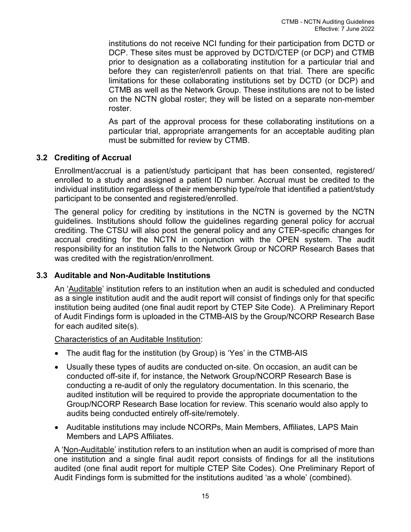institutions do not receive NCI funding for their participation from DCTD or DCP. These sites must be approved by DCTD/CTEP (or DCP) and CTMB prior to designation as a collaborating institution for a particular trial and before they can register/enroll patients on that trial. There are specific limitations for these collaborating institutions set by DCTD (or DCP) and CTMB as well as the Network Group. These institutions are not to be listed on the NCTN global roster; they will be listed on a separate non-member roster.

As part of the approval process for these collaborating institutions on a particular trial, appropriate arrangements for an acceptable auditing plan must be submitted for review by CTMB.

# <span id="page-23-0"></span>**3.2 Crediting of Accrual**

Enrollment/accrual is a patient/study participant that has been consented, registered/ enrolled to a study and assigned a patient ID number. Accrual must be credited to the individual institution regardless of their membership type/role that identified a patient/study participant to be consented and registered/enrolled.

The general policy for crediting by institutions in the NCTN is governed by the NCTN guidelines. Institutions should follow the guidelines regarding general policy for accrual crediting. The CTSU will also post the general policy and any CTEP-specific changes for accrual crediting for the NCTN in conjunction with the OPEN system. The audit responsibility for an institution falls to the Network Group or NCORP Research Bases that was credited with the registration/enrollment.

## <span id="page-23-1"></span>**3.3 Auditable and Non-Auditable Institutions**

An 'Auditable' institution refers to an institution when an audit is scheduled and conducted as a single institution audit and the audit report will consist of findings only for that specific institution being audited (one final audit report by CTEP Site Code). A Preliminary Report of Audit Findings form is uploaded in the CTMB-AIS by the Group/NCORP Research Base for each audited site(s).

#### Characteristics of an Auditable Institution:

- The audit flag for the institution (by Group) is 'Yes' in the CTMB-AIS
- Usually these types of audits are conducted on-site. On occasion, an audit can be conducted off-site if, for instance, the Network Group/NCORP Research Base is conducting a re-audit of only the regulatory documentation. In this scenario, the audited institution will be required to provide the appropriate documentation to the Group/NCORP Research Base location for review. This scenario would also apply to audits being conducted entirely off-site/remotely.
- Auditable institutions may include NCORPs, Main Members, Affiliates, LAPS Main Members and LAPS Affiliates.

A 'Non-Auditable' institution refers to an institution when an audit is comprised of more than one institution and a single final audit report consists of findings for all the institutions audited (one final audit report for multiple CTEP Site Codes). One Preliminary Report of Audit Findings form is submitted for the institutions audited 'as a whole' (combined).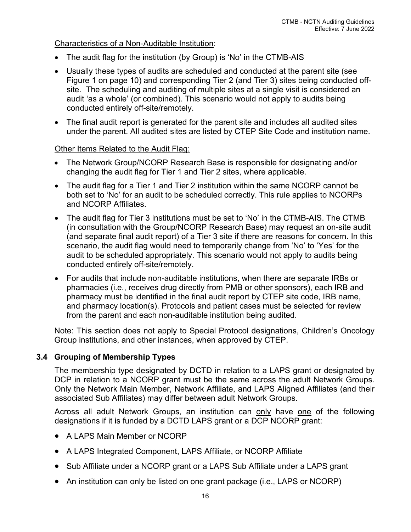## Characteristics of a Non-Auditable Institution:

- The audit flag for the institution (by Group) is 'No' in the CTMB-AIS
- Usually these types of audits are scheduled and conducted at the parent site (see Figure 1 on page 10) and corresponding Tier 2 (and Tier 3) sites being conducted offsite. The scheduling and auditing of multiple sites at a single visit is considered an audit 'as a whole' (or combined). This scenario would not apply to audits being conducted entirely off-site/remotely.
- The final audit report is generated for the parent site and includes all audited sites under the parent. All audited sites are listed by CTEP Site Code and institution name.

## Other Items Related to the Audit Flag:

- The Network Group/NCORP Research Base is responsible for designating and/or changing the audit flag for Tier 1 and Tier 2 sites, where applicable.
- The audit flag for a Tier 1 and Tier 2 institution within the same NCORP cannot be both set to 'No' for an audit to be scheduled correctly. This rule applies to NCORPs and NCORP Affiliates.
- The audit flag for Tier 3 institutions must be set to 'No' in the CTMB-AIS. The CTMB (in consultation with the Group/NCORP Research Base) may request an on-site audit (and separate final audit report) of a Tier 3 site if there are reasons for concern. In this scenario, the audit flag would need to temporarily change from 'No' to 'Yes' for the audit to be scheduled appropriately. This scenario would not apply to audits being conducted entirely off-site/remotely.
- For audits that include non-auditable institutions, when there are separate IRBs or pharmacies (i.e., receives drug directly from PMB or other sponsors), each IRB and pharmacy must be identified in the final audit report by CTEP site code, IRB name, and pharmacy location(s). Protocols and patient cases must be selected for review from the parent and each non-auditable institution being audited.

Note: This section does not apply to Special Protocol designations, Children's Oncology Group institutions, and other instances, when approved by CTEP.

# <span id="page-24-0"></span>**3.4 Grouping of Membership Types**

The membership type designated by DCTD in relation to a LAPS grant or designated by DCP in relation to a NCORP grant must be the same across the adult Network Groups. Only the Network Main Member, Network Affiliate, and LAPS Aligned Affiliates (and their associated Sub Affiliates) may differ between adult Network Groups.

Across all adult Network Groups, an institution can only have one of the following designations if it is funded by a DCTD LAPS grant or a DCP NCORP grant:

- A LAPS Main Member or NCORP
- A LAPS Integrated Component, LAPS Affiliate, or NCORP Affiliate
- Sub Affiliate under a NCORP grant or a LAPS Sub Affiliate under a LAPS grant
- An institution can only be listed on one grant package (i.e., LAPS or NCORP)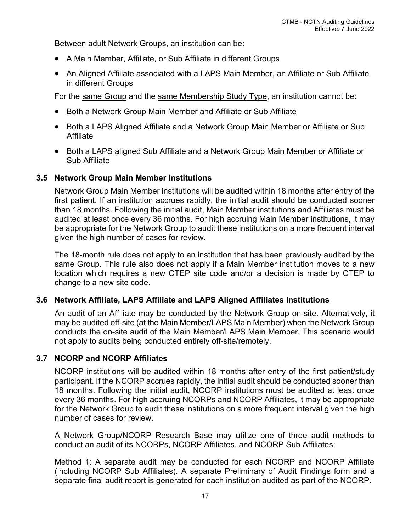Between adult Network Groups, an institution can be:

- A Main Member, Affiliate, or Sub Affiliate in different Groups
- An Aligned Affiliate associated with a LAPS Main Member, an Affiliate or Sub Affiliate in different Groups

For the same Group and the same Membership Study Type, an institution cannot be:

- Both a Network Group Main Member and Affiliate or Sub Affiliate
- Both a LAPS Aligned Affiliate and a Network Group Main Member or Affiliate or Sub Affiliate
- Both a LAPS aligned Sub Affiliate and a Network Group Main Member or Affiliate or Sub Affiliate

#### <span id="page-25-0"></span>**3.5 Network Group Main Member Institutions**

Network Group Main Member institutions will be audited within 18 months after entry of the first patient. If an institution accrues rapidly, the initial audit should be conducted sooner than 18 months. Following the initial audit, Main Member institutions and Affiliates must be audited at least once every 36 months. For high accruing Main Member institutions, it may be appropriate for the Network Group to audit these institutions on a more frequent interval given the high number of cases for review.

The 18-month rule does not apply to an institution that has been previously audited by the same Group. This rule also does not apply if a Main Member institution moves to a new location which requires a new CTEP site code and/or a decision is made by CTEP to change to a new site code.

## <span id="page-25-1"></span>**3.6 Network Affiliate, LAPS Affiliate and LAPS Aligned Affiliates Institutions**

An audit of an Affiliate may be conducted by the Network Group on-site. Alternatively, it may be audited off-site (at the Main Member/LAPS Main Member) when the Network Group conducts the on-site audit of the Main Member/LAPS Main Member. This scenario would not apply to audits being conducted entirely off-site/remotely.

#### <span id="page-25-2"></span>**3.7 NCORP and NCORP Affiliates**

NCORP institutions will be audited within 18 months after entry of the first patient/study participant. If the NCORP accrues rapidly, the initial audit should be conducted sooner than 18 months. Following the initial audit, NCORP institutions must be audited at least once every 36 months. For high accruing NCORPs and NCORP Affiliates, it may be appropriate for the Network Group to audit these institutions on a more frequent interval given the high number of cases for review.

A Network Group/NCORP Research Base may utilize one of three audit methods to conduct an audit of its NCORPs, NCORP Affiliates, and NCORP Sub Affiliates:

Method 1: A separate audit may be conducted for each NCORP and NCORP Affiliate (including NCORP Sub Affiliates). A separate Preliminary of Audit Findings form and a separate final audit report is generated for each institution audited as part of the NCORP.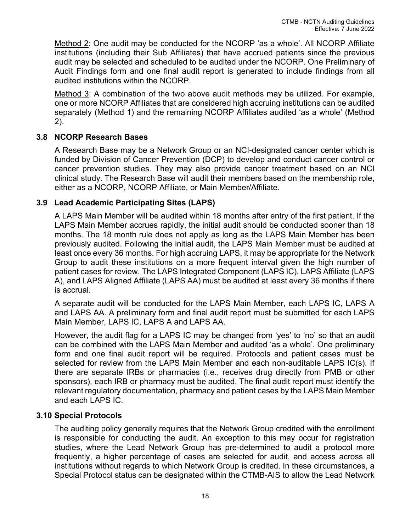Method 2: One audit may be conducted for the NCORP 'as a whole'. All NCORP Affiliate institutions (including their Sub Affiliates) that have accrued patients since the previous audit may be selected and scheduled to be audited under the NCORP. One Preliminary of Audit Findings form and one final audit report is generated to include findings from all audited institutions within the NCORP.

Method 3: A combination of the two above audit methods may be utilized. For example, one or more NCORP Affiliates that are considered high accruing institutions can be audited separately (Method 1) and the remaining NCORP Affiliates audited 'as a whole' (Method 2).

## <span id="page-26-0"></span>**3.8 NCORP Research Bases**

A Research Base may be a Network Group or an NCI-designated cancer center which is funded by Division of Cancer Prevention (DCP) to develop and conduct cancer control or cancer prevention studies. They may also provide cancer treatment based on an NCI clinical study. The Research Base will audit their members based on the membership role, either as a NCORP, NCORP Affiliate, or Main Member/Affiliate.

## <span id="page-26-1"></span>**3.9 Lead Academic Participating Sites (LAPS)**

A LAPS Main Member will be audited within 18 months after entry of the first patient. If the LAPS Main Member accrues rapidly, the initial audit should be conducted sooner than 18 months. The 18 month rule does not apply as long as the LAPS Main Member has been previously audited. Following the initial audit, the LAPS Main Member must be audited at least once every 36 months. For high accruing LAPS, it may be appropriate for the Network Group to audit these institutions on a more frequent interval given the high number of patient cases for review. The LAPS Integrated Component (LAPS IC), LAPS Affiliate (LAPS A), and LAPS Aligned Affiliate (LAPS AA) must be audited at least every 36 months if there is accrual.

A separate audit will be conducted for the LAPS Main Member, each LAPS IC, LAPS A and LAPS AA. A preliminary form and final audit report must be submitted for each LAPS Main Member, LAPS IC, LAPS A and LAPS AA.

However, the audit flag for a LAPS IC may be changed from 'yes' to 'no' so that an audit can be combined with the LAPS Main Member and audited 'as a whole'. One preliminary form and one final audit report will be required. Protocols and patient cases must be selected for review from the LAPS Main Member and each non-auditable LAPS IC(s). If there are separate IRBs or pharmacies (i.e., receives drug directly from PMB or other sponsors), each IRB or pharmacy must be audited. The final audit report must identify the relevant regulatory documentation, pharmacy and patient cases by the LAPS Main Member and each LAPS IC.

## <span id="page-26-2"></span>**3.10 Special Protocols**

The auditing policy generally requires that the Network Group credited with the enrollment is responsible for conducting the audit. An exception to this may occur for registration studies, where the Lead Network Group has pre-determined to audit a protocol more frequently, a higher percentage of cases are selected for audit, and access across all institutions without regards to which Network Group is credited. In these circumstances, a Special Protocol status can be designated within the CTMB-AIS to allow the Lead Network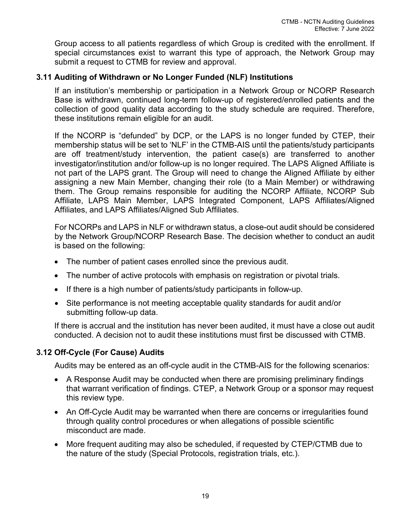Group access to all patients regardless of which Group is credited with the enrollment. If special circumstances exist to warrant this type of approach, the Network Group may submit a request to CTMB for review and approval.

# <span id="page-27-0"></span>**3.11 Auditing of Withdrawn or No Longer Funded (NLF) Institutions**

If an institution's membership or participation in a Network Group or NCORP Research Base is withdrawn, continued long-term follow-up of registered/enrolled patients and the collection of good quality data according to the study schedule are required. Therefore, these institutions remain eligible for an audit.

If the NCORP is "defunded" by DCP, or the LAPS is no longer funded by CTEP, their membership status will be set to 'NLF' in the CTMB-AIS until the patients/study participants are off treatment/study intervention, the patient case(s) are transferred to another investigator/institution and/or follow-up is no longer required. The LAPS Aligned Affiliate is not part of the LAPS grant. The Group will need to change the Aligned Affiliate by either assigning a new Main Member, changing their role (to a Main Member) or withdrawing them. The Group remains responsible for auditing the NCORP Affiliate, NCORP Sub Affiliate, LAPS Main Member, LAPS Integrated Component, LAPS Affiliates/Aligned Affiliates, and LAPS Affiliates/Aligned Sub Affiliates.

For NCORPs and LAPS in NLF or withdrawn status, a close-out audit should be considered by the Network Group/NCORP Research Base. The decision whether to conduct an audit is based on the following:

- The number of patient cases enrolled since the previous audit.
- The number of active protocols with emphasis on registration or pivotal trials.
- If there is a high number of patients/study participants in follow-up.
- Site performance is not meeting acceptable quality standards for audit and/or submitting follow-up data.

If there is accrual and the institution has never been audited, it must have a close out audit conducted. A decision not to audit these institutions must first be discussed with CTMB.

# <span id="page-27-1"></span>**3.12 Off-Cycle (For Cause) Audits**

Audits may be entered as an off-cycle audit in the CTMB-AIS for the following scenarios:

- A Response Audit may be conducted when there are promising preliminary findings that warrant verification of findings. CTEP, a Network Group or a sponsor may request this review type.
- An Off-Cycle Audit may be warranted when there are concerns or irregularities found through quality control procedures or when allegations of possible scientific misconduct are made.
- More frequent auditing may also be scheduled, if requested by CTEP/CTMB due to the nature of the study (Special Protocols, registration trials, etc.).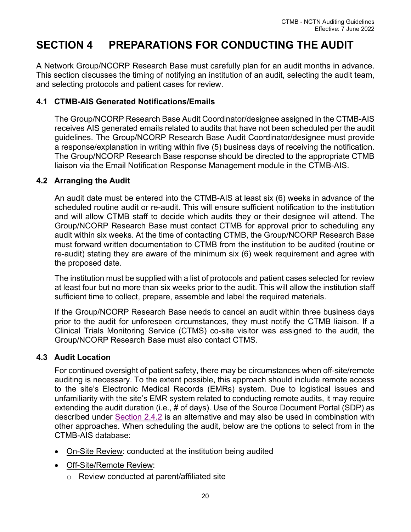# <span id="page-28-0"></span>**SECTION 4 PREPARATIONS FOR CONDUCTING THE AUDIT**

A Network Group/NCORP Research Base must carefully plan for an audit months in advance. This section discusses the timing of notifying an institution of an audit, selecting the audit team, and selecting protocols and patient cases for review.

## <span id="page-28-1"></span>**4.1 CTMB-AIS Generated Notifications/Emails**

The Group/NCORP Research Base Audit Coordinator/designee assigned in the CTMB-AIS receives AIS generated emails related to audits that have not been scheduled per the audit guidelines. The Group/NCORP Research Base Audit Coordinator/designee must provide a response/explanation in writing within five (5) business days of receiving the notification. The Group/NCORP Research Base response should be directed to the appropriate CTMB liaison via the Email Notification Response Management module in the CTMB-AIS.

## <span id="page-28-2"></span>**4.2 Arranging the Audit**

An audit date must be entered into the CTMB-AIS at least six (6) weeks in advance of the scheduled routine audit or re-audit. This will ensure sufficient notification to the institution and will allow CTMB staff to decide which audits they or their designee will attend. The Group/NCORP Research Base must contact CTMB for approval prior to scheduling any audit within six weeks. At the time of contacting CTMB, the Group/NCORP Research Base must forward written documentation to CTMB from the institution to be audited (routine or re-audit) stating they are aware of the minimum six (6) week requirement and agree with the proposed date.

The institution must be supplied with a list of protocols and patient cases selected for review at least four but no more than six weeks prior to the audit. This will allow the institution staff sufficient time to collect, prepare, assemble and label the required materials.

If the Group/NCORP Research Base needs to cancel an audit within three business days prior to the audit for unforeseen circumstances, they must notify the CTMB liaison. If a Clinical Trials Monitoring Service (CTMS) co-site visitor was assigned to the audit, the Group/NCORP Research Base must also contact CTMS.

## <span id="page-28-3"></span>**4.3 Audit Location**

For continued oversight of patient safety, there may be circumstances when off-site/remote auditing is necessary. To the extent possible, this approach should include remote access to the site's Electronic Medical Records (EMRs) system. Due to logistical issues and unfamiliarity with the site's EMR system related to conducting remote audits, it may require extending the audit duration (i.e., # of days). Use of the Source Document Portal (SDP) as described under [Section 2.4.2](#page-16-1) is an alternative and may also be used in combination with other approaches. When scheduling the audit, below are the options to select from in the CTMB-AIS database:

- On-Site Review: conducted at the institution being audited
- Off-Site/Remote Review:
	- o Review conducted at parent/affiliated site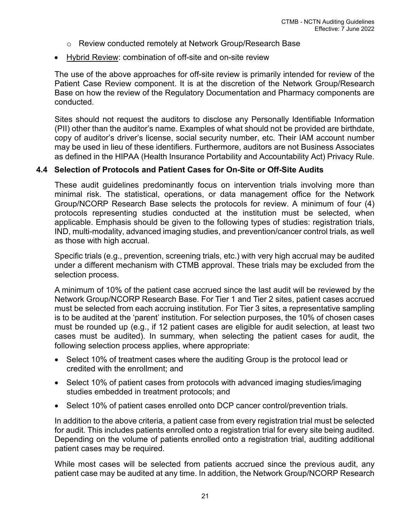- o Review conducted remotely at Network Group/Research Base
- Hybrid Review: combination of off-site and on-site review

The use of the above approaches for off-site review is primarily intended for review of the Patient Case Review component. It is at the discretion of the Network Group/Research Base on how the review of the Regulatory Documentation and Pharmacy components are conducted.

Sites should not request the auditors to disclose any Personally Identifiable Information (PII) other than the auditor's name. Examples of what should not be provided are birthdate, copy of auditor's driver's license, social security number, etc. Their IAM account number may be used in lieu of these identifiers. Furthermore, auditors are not Business Associates as defined in the HIPAA (Health Insurance Portability and Accountability Act) Privacy Rule.

## <span id="page-29-0"></span>**4.4 Selection of Protocols and Patient Cases for On-Site or Off-Site Audits**

These audit guidelines predominantly focus on intervention trials involving more than minimal risk. The statistical, operations, or data management office for the Network Group/NCORP Research Base selects the protocols for review. A minimum of four (4) protocols representing studies conducted at the institution must be selected, when applicable. Emphasis should be given to the following types of studies: registration trials, IND, multi-modality, advanced imaging studies, and prevention/cancer control trials, as well as those with high accrual.

Specific trials (e.g., prevention, screening trials, etc.) with very high accrual may be audited under a different mechanism with CTMB approval. These trials may be excluded from the selection process.

A minimum of 10% of the patient case accrued since the last audit will be reviewed by the Network Group/NCORP Research Base. For Tier 1 and Tier 2 sites, patient cases accrued must be selected from each accruing institution. For Tier 3 sites, a representative sampling is to be audited at the 'parent' institution. For selection purposes, the 10% of chosen cases must be rounded up (e.g., if 12 patient cases are eligible for audit selection, at least two cases must be audited). In summary, when selecting the patient cases for audit, the following selection process applies, where appropriate:

- Select 10% of treatment cases where the auditing Group is the protocol lead or credited with the enrollment; and
- Select 10% of patient cases from protocols with advanced imaging studies/imaging studies embedded in treatment protocols; and
- Select 10% of patient cases enrolled onto DCP cancer control/prevention trials.

In addition to the above criteria, a patient case from every registration trial must be selected for audit. This includes patients enrolled onto a registration trial for every site being audited. Depending on the volume of patients enrolled onto a registration trial, auditing additional patient cases may be required.

While most cases will be selected from patients accrued since the previous audit, any patient case may be audited at any time. In addition, the Network Group/NCORP Research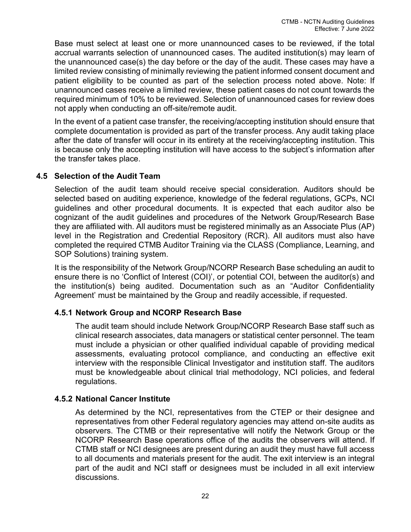Base must select at least one or more unannounced cases to be reviewed, if the total accrual warrants selection of unannounced cases. The audited institution(s) may learn of the unannounced case(s) the day before or the day of the audit. These cases may have a limited review consisting of minimally reviewing the patient informed consent document and patient eligibility to be counted as part of the selection process noted above. Note: If unannounced cases receive a limited review, these patient cases do not count towards the required minimum of 10% to be reviewed. Selection of unannounced cases for review does not apply when conducting an off-site/remote audit.

In the event of a patient case transfer, the receiving/accepting institution should ensure that complete documentation is provided as part of the transfer process. Any audit taking place after the date of transfer will occur in its entirety at the receiving/accepting institution. This is because only the accepting institution will have access to the subject's information after the transfer takes place.

## <span id="page-30-0"></span>**4.5 Selection of the Audit Team**

Selection of the audit team should receive special consideration. Auditors should be selected based on auditing experience, knowledge of the federal regulations, GCPs, NCI guidelines and other procedural documents. It is expected that each auditor also be cognizant of the audit guidelines and procedures of the Network Group/Research Base they are affiliated with. All auditors must be registered minimally as an Associate Plus (AP) level in the Registration and Credential Repository (RCR). All auditors must also have completed the required CTMB Auditor Training via the CLASS (Compliance, Learning, and SOP Solutions) training system.

It is the responsibility of the Network Group/NCORP Research Base scheduling an audit to ensure there is no 'Conflict of Interest (COI)', or potential COI, between the auditor(s) and the institution(s) being audited. Documentation such as an "Auditor Confidentiality Agreement' must be maintained by the Group and readily accessible, if requested.

# <span id="page-30-1"></span>**4.5.1 Network Group and NCORP Research Base**

The audit team should include Network Group/NCORP Research Base staff such as clinical research associates, data managers or statistical center personnel. The team must include a physician or other qualified individual capable of providing medical assessments, evaluating protocol compliance, and conducting an effective exit interview with the responsible Clinical Investigator and institution staff. The auditors must be knowledgeable about clinical trial methodology, NCI policies, and federal regulations.

## <span id="page-30-2"></span>**4.5.2 National Cancer Institute**

As determined by the NCI, representatives from the CTEP or their designee and representatives from other Federal regulatory agencies may attend on-site audits as observers. The CTMB or their representative will notify the Network Group or the NCORP Research Base operations office of the audits the observers will attend. If CTMB staff or NCI designees are present during an audit they must have full access to all documents and materials present for the audit. The exit interview is an integral part of the audit and NCI staff or designees must be included in all exit interview discussions.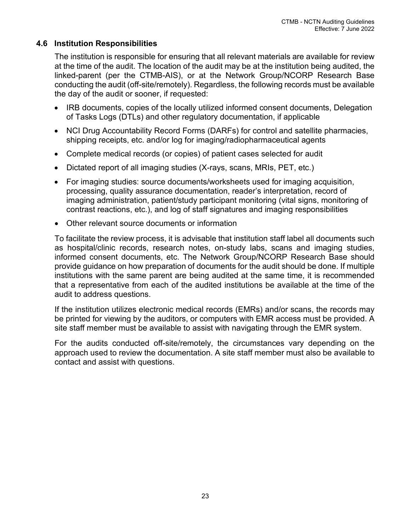# <span id="page-31-0"></span>**4.6 Institution Responsibilities**

The institution is responsible for ensuring that all relevant materials are available for review at the time of the audit. The location of the audit may be at the institution being audited, the linked-parent (per the CTMB-AIS), or at the Network Group/NCORP Research Base conducting the audit (off-site/remotely). Regardless, the following records must be available the day of the audit or sooner, if requested:

- IRB documents, copies of the locally utilized informed consent documents, Delegation of Tasks Logs (DTLs) and other regulatory documentation, if applicable
- NCI Drug Accountability Record Forms (DARFs) for control and satellite pharmacies, shipping receipts, etc. and/or log for imaging/radiopharmaceutical agents
- Complete medical records (or copies) of patient cases selected for audit
- Dictated report of all imaging studies (X-rays, scans, MRIs, PET, etc.)
- For imaging studies: source documents/worksheets used for imaging acquisition, processing, quality assurance documentation, reader's interpretation, record of imaging administration, patient/study participant monitoring (vital signs, monitoring of contrast reactions, etc.), and log of staff signatures and imaging responsibilities
- Other relevant source documents or information

To facilitate the review process, it is advisable that institution staff label all documents such as hospital/clinic records, research notes, on-study labs, scans and imaging studies, informed consent documents, etc. The Network Group/NCORP Research Base should provide guidance on how preparation of documents for the audit should be done. If multiple institutions with the same parent are being audited at the same time, it is recommended that a representative from each of the audited institutions be available at the time of the audit to address questions.

If the institution utilizes electronic medical records (EMRs) and/or scans, the records may be printed for viewing by the auditors, or computers with EMR access must be provided. A site staff member must be available to assist with navigating through the EMR system.

For the audits conducted off-site/remotely, the circumstances vary depending on the approach used to review the documentation. A site staff member must also be available to contact and assist with questions.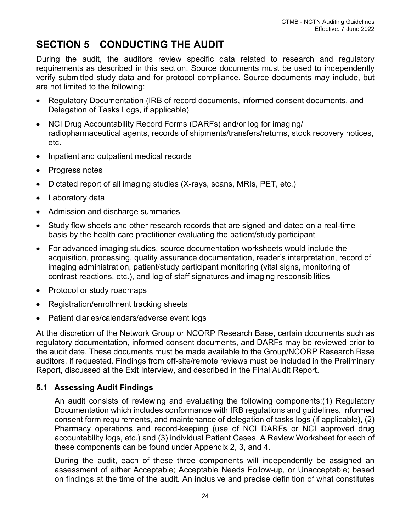# <span id="page-32-0"></span>**SECTION 5 CONDUCTING THE AUDIT**

During the audit, the auditors review specific data related to research and regulatory requirements as described in this section. Source documents must be used to independently verify submitted study data and for protocol compliance. Source documents may include, but are not limited to the following:

- Regulatory Documentation (IRB of record documents, informed consent documents, and Delegation of Tasks Logs, if applicable)
- NCI Drug Accountability Record Forms (DARFs) and/or log for imaging/ radiopharmaceutical agents, records of shipments/transfers/returns, stock recovery notices, etc.
- Inpatient and outpatient medical records
- Progress notes
- Dictated report of all imaging studies (X-rays, scans, MRIs, PET, etc.)
- Laboratory data
- Admission and discharge summaries
- Study flow sheets and other research records that are signed and dated on a real-time basis by the health care practitioner evaluating the patient/study participant
- For advanced imaging studies, source documentation worksheets would include the acquisition, processing, quality assurance documentation, reader's interpretation, record of imaging administration, patient/study participant monitoring (vital signs, monitoring of contrast reactions, etc.), and log of staff signatures and imaging responsibilities
- Protocol or study roadmaps
- Registration/enrollment tracking sheets
- Patient diaries/calendars/adverse event logs

At the discretion of the Network Group or NCORP Research Base, certain documents such as regulatory documentation, informed consent documents, and DARFs may be reviewed prior to the audit date. These documents must be made available to the Group/NCORP Research Base auditors, if requested. Findings from off-site/remote reviews must be included in the Preliminary Report, discussed at the Exit Interview, and described in the Final Audit Report.

# <span id="page-32-1"></span>**5.1 Assessing Audit Findings**

An audit consists of reviewing and evaluating the following components:(1) Regulatory Documentation which includes conformance with IRB regulations and guidelines, informed consent form requirements, and maintenance of delegation of tasks logs (if applicable), (2) Pharmacy operations and record-keeping (use of NCI DARFs or NCI approved drug accountability logs, etc.) and (3) individual Patient Cases. A Review Worksheet for each of these components can be found under Appendix 2, 3, and 4.

During the audit, each of these three components will independently be assigned an assessment of either Acceptable; Acceptable Needs Follow-up, or Unacceptable; based on findings at the time of the audit. An inclusive and precise definition of what constitutes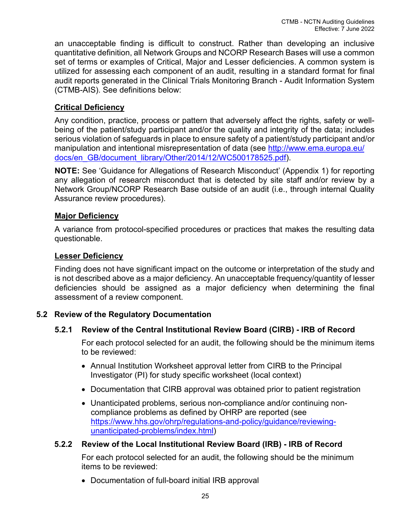an unacceptable finding is difficult to construct. Rather than developing an inclusive quantitative definition, all Network Groups and NCORP Research Bases will use a common set of terms or examples of Critical, Major and Lesser deficiencies. A common system is utilized for assessing each component of an audit, resulting in a standard format for final audit reports generated in the Clinical Trials Monitoring Branch - Audit Information System (CTMB-AIS). See definitions below:

# <span id="page-33-3"></span>**Critical Deficiency**

Any condition, practice, process or pattern that adversely affect the rights, safety or wellbeing of the patient/study participant and/or the quality and integrity of the data; includes serious violation of safeguards in place to ensure safety of a patient/study participant and/or manipulation and intentional misrepresentation of data (see [http://www.ema.europa.eu/](http://www.ema.europa.eu/docs/en_GB/document_library/Other/2014/12/WC500178525.pdf) [docs/en\\_GB/document\\_library/Other/2014/12/WC500178525.pdf\)](http://www.ema.europa.eu/docs/en_GB/document_library/Other/2014/12/WC500178525.pdf).

**NOTE:** See 'Guidance for Allegations of Research Misconduct' (Appendix 1) for reporting any allegation of research misconduct that is detected by site staff and/or review by a Network Group/NCORP Research Base outside of an audit (i.e., through internal Quality Assurance review procedures).

## **Major Deficiency**

A variance from protocol-specified procedures or practices that makes the resulting data questionable.

## **Lesser Deficiency**

Finding does not have significant impact on the outcome or interpretation of the study and is not described above as a major deficiency. An unacceptable frequency/quantity of lesser deficiencies should be assigned as a major deficiency when determining the final assessment of a review component.

# <span id="page-33-1"></span><span id="page-33-0"></span>**5.2 Review of the Regulatory Documentation**

# **5.2.1 Review of the Central Institutional Review Board (CIRB) - IRB of Record**

For each protocol selected for an audit, the following should be the minimum items to be reviewed:

- Annual Institution Worksheet approval letter from CIRB to the Principal Investigator (PI) for study specific worksheet (local context)
- Documentation that CIRB approval was obtained prior to patient registration
- Unanticipated problems, serious non-compliance and/or continuing noncompliance problems as defined by OHRP are reported (see [https://www.hhs.gov/ohrp/regulations-and-policy/guidance/reviewing](https://www.hhs.gov/ohrp/regulations-and-policy/guidance/reviewing-unanticipated-problems/index.html)[unanticipated-problems/index.html\)](https://www.hhs.gov/ohrp/regulations-and-policy/guidance/reviewing-unanticipated-problems/index.html)

## <span id="page-33-2"></span>**5.2.2 Review of the Local Institutional Review Board (IRB) - IRB of Record**

For each protocol selected for an audit, the following should be the minimum items to be reviewed:

• Documentation of full-board initial IRB approval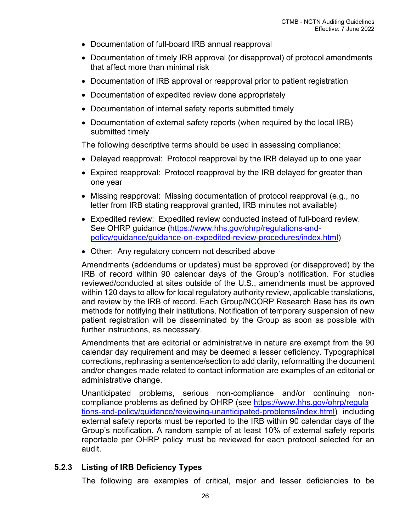- Documentation of full-board IRB annual reapproval
- Documentation of timely IRB approval (or disapproval) of protocol amendments that affect more than minimal risk
- Documentation of IRB approval or reapproval prior to patient registration
- Documentation of expedited review done appropriately
- Documentation of internal safety reports submitted timely
- Documentation of external safety reports (when required by the local IRB) submitted timely

The following descriptive terms should be used in assessing compliance:

- Delayed reapproval: Protocol reapproval by the IRB delayed up to one year
- Expired reapproval: Protocol reapproval by the IRB delayed for greater than one year
- Missing reapproval: Missing documentation of protocol reapproval (e.g., no letter from IRB stating reapproval granted, IRB minutes not available)
- Expedited review: Expedited review conducted instead of full-board review. See OHRP guidance [\(https://www.hhs.gov/ohrp/regulations-and](https://www.hhs.gov/ohrp/regulations-and-policy/guidance/guidance-on-expedited-review-procedures/index.html)[policy/guidance/guidance-on-expedited-review-procedures/index.html\)](https://www.hhs.gov/ohrp/regulations-and-policy/guidance/guidance-on-expedited-review-procedures/index.html)
- Other: Any regulatory concern not described above

Amendments (addendums or updates) must be approved (or disapproved) by the IRB of record within 90 calendar days of the Group's notification. For studies reviewed/conducted at sites outside of the U.S., amendments must be approved within 120 days to allow for local regulatory authority review, applicable translations, and review by the IRB of record. Each Group/NCORP Research Base has its own methods for notifying their institutions. Notification of temporary suspension of new patient registration will be disseminated by the Group as soon as possible with further instructions, as necessary.

Amendments that are editorial or administrative in nature are exempt from the 90 calendar day requirement and may be deemed a lesser deficiency. Typographical corrections, rephrasing a sentence/section to add clarity, reformatting the document and/or changes made related to contact information are examples of an editorial or administrative change.

Unanticipated problems, serious non-compliance and/or continuing noncompliance problems as defined by OHRP (see [https://www.hhs.gov/ohrp/regula](https://www.hhs.gov/ohrp/regulations-and-policy/guidance/reviewing-unanticipated-problems/index.html) [tions-and-policy/guidance/reviewing-unanticipated-problems/index.html\)](https://www.hhs.gov/ohrp/regulations-and-policy/guidance/reviewing-unanticipated-problems/index.html) including external safety reports must be reported to the IRB within 90 calendar days of the Group's notification. A random sample of at least 10% of external safety reports reportable per OHRP policy must be reviewed for each protocol selected for an audit.

# <span id="page-34-0"></span>**5.2.3 Listing of IRB Deficiency Types**

The following are examples of critical, major and lesser deficiencies to be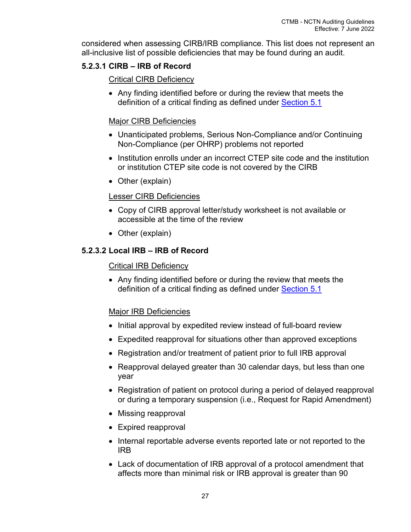considered when assessing CIRB/IRB compliance. This list does not represent an all-inclusive list of possible deficiencies that may be found during an audit.

# <span id="page-35-0"></span>**5.2.3.1 CIRB – IRB of Record**

## Critical CIRB Deficiency

• Any finding identified before or during the review that meets the definition of a critical finding as defined under [Section 5.1](#page-33-3)

# Major CIRB Deficiencies

- Unanticipated problems, Serious Non-Compliance and/or Continuing Non-Compliance (per OHRP) problems not reported
- Institution enrolls under an incorrect CTEP site code and the institution or institution CTEP site code is not covered by the CIRB
- Other (explain)

# Lesser CIRB Deficiencies

- Copy of CIRB approval letter/study worksheet is not available or accessible at the time of the review
- Other (explain)

# <span id="page-35-1"></span>**5.2.3.2 Local IRB – IRB of Record**

## Critical IRB Deficiency

• Any finding identified before or during the review that meets the definition of a critical finding as defined under [Section 5.1](#page-33-3)

# Major IRB Deficiencies

- Initial approval by expedited review instead of full-board review
- Expedited reapproval for situations other than approved exceptions
- Registration and/or treatment of patient prior to full IRB approval
- Reapproval delayed greater than 30 calendar days, but less than one year
- Registration of patient on protocol during a period of delayed reapproval or during a temporary suspension (i.e., Request for Rapid Amendment)
- Missing reapproval
- Expired reapproval
- Internal reportable adverse events reported late or not reported to the IRB
- Lack of documentation of IRB approval of a protocol amendment that affects more than minimal risk or IRB approval is greater than 90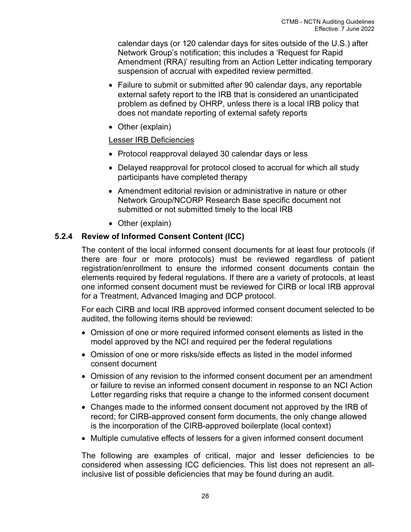calendar days (or 120 calendar days for sites outside of the U.S.) after Network Group's notification; this includes a 'Request for Rapid Amendment (RRA)' resulting from an Action Letter indicating temporary suspension of accrual with expedited review permitted.

- Failure to submit or submitted after 90 calendar days, any reportable external safety report to the IRB that is considered an unanticipated problem as defined by OHRP, unless there is a local IRB policy that does not mandate reporting of external safety reports
- Other (explain)

## Lesser IRB Deficiencies

- Protocol reapproval delayed 30 calendar days or less
- Delayed reapproval for protocol closed to accrual for which all study participants have completed therapy
- Amendment editorial revision or administrative in nature or other Network Group/NCORP Research Base specific document not submitted or not submitted timely to the local IRB
- Other (explain)

## <span id="page-36-0"></span>**5.2.4 Review of Informed Consent Content (ICC)**

The content of the local informed consent documents for at least four protocols (if there are four or more protocols) must be reviewed regardless of patient registration/enrollment to ensure the informed consent documents contain the elements required by federal regulations. If there are a variety of protocols, at least one informed consent document must be reviewed for CIRB or local IRB approval for a Treatment, Advanced Imaging and DCP protocol.

For each CIRB and local IRB approved informed consent document selected to be audited, the following items should be reviewed:

- Omission of one or more required informed consent elements as listed in the model approved by the NCI and required per the federal regulations
- Omission of one or more risks/side effects as listed in the model informed consent document
- Omission of any revision to the informed consent document per an amendment or failure to revise an informed consent document in response to an NCI Action Letter regarding risks that require a change to the informed consent document
- Changes made to the informed consent document not approved by the IRB of record; for CIRB-approved consent form documents, the only change allowed is the incorporation of the CIRB-approved boilerplate (local context)
- Multiple cumulative effects of lessers for a given informed consent document

The following are examples of critical, major and lesser deficiencies to be considered when assessing ICC deficiencies. This list does not represent an allinclusive list of possible deficiencies that may be found during an audit.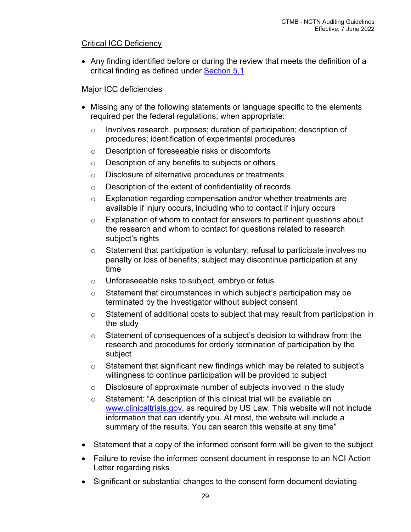## Critical ICC Deficiency

• Any finding identified before or during the review that meets the definition of a critical finding as defined under [Section 5.1](#page-33-3)

## Major ICC deficiencies

- Missing any of the following statements or language specific to the elements required per the federal regulations, when appropriate:
	- o Involves research, purposes; duration of participation; description of procedures; identification of experimental procedures
	- o Description of foreseeable risks or discomforts
	- o Description of any benefits to subjects or others
	- o Disclosure of alternative procedures or treatments
	- o Description of the extent of confidentiality of records
	- o Explanation regarding compensation and/or whether treatments are available if injury occurs, including who to contact if injury occurs
	- o Explanation of whom to contact for answers to pertinent questions about the research and whom to contact for questions related to research subject's rights
	- o Statement that participation is voluntary; refusal to participate involves no penalty or loss of benefits; subject may discontinue participation at any time
	- o Unforeseeable risks to subject, embryo or fetus
	- o Statement that circumstances in which subject's participation may be terminated by the investigator without subject consent
	- o Statement of additional costs to subject that may result from participation in the study
	- $\circ$  Statement of consequences of a subject's decision to withdraw from the research and procedures for orderly termination of participation by the subject
	- o Statement that significant new findings which may be related to subject's willingness to continue participation will be provided to subject
	- $\circ$  Disclosure of approximate number of subjects involved in the study
	- o Statement: "A description of this clinical trial will be available on [www.clinicaltrials.gov,](http://www.clinicaltrials.gov/) as required by US Law. This website will not include information that can identify you. At most, the website will include a summary of the results. You can search this website at any time"
- Statement that a copy of the informed consent form will be given to the subject
- Failure to revise the informed consent document in response to an NCI Action Letter regarding risks
- Significant or substantial changes to the consent form document deviating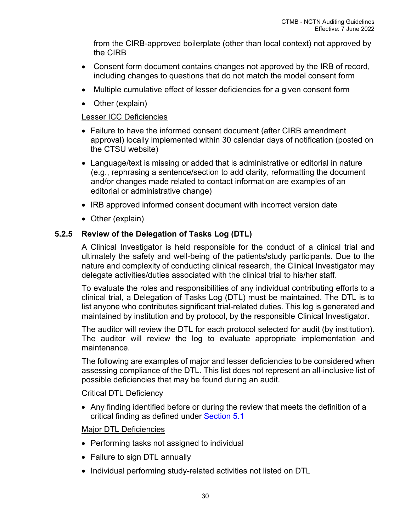from the CIRB-approved boilerplate (other than local context) not approved by the CIRB

- Consent form document contains changes not approved by the IRB of record, including changes to questions that do not match the model consent form
- Multiple cumulative effect of lesser deficiencies for a given consent form
- Other (explain)

## Lesser ICC Deficiencies

- Failure to have the informed consent document (after CIRB amendment approval) locally implemented within 30 calendar days of notification (posted on the CTSU website)
- Language/text is missing or added that is administrative or editorial in nature (e.g., rephrasing a sentence/section to add clarity, reformatting the document and/or changes made related to contact information are examples of an editorial or administrative change)
- IRB approved informed consent document with incorrect version date
- Other (explain)

## <span id="page-38-0"></span>**5.2.5 Review of the Delegation of Tasks Log (DTL)**

A Clinical Investigator is held responsible for the conduct of a clinical trial and ultimately the safety and well-being of the patients/study participants. Due to the nature and complexity of conducting clinical research, the Clinical Investigator may delegate activities/duties associated with the clinical trial to his/her staff.

To evaluate the roles and responsibilities of any individual contributing efforts to a clinical trial, a Delegation of Tasks Log (DTL) must be maintained. The DTL is to list anyone who contributes significant trial-related duties. This log is generated and maintained by institution and by protocol, by the responsible Clinical Investigator.

The auditor will review the DTL for each protocol selected for audit (by institution). The auditor will review the log to evaluate appropriate implementation and maintenance.

The following are examples of major and lesser deficiencies to be considered when assessing compliance of the DTL. This list does not represent an all-inclusive list of possible deficiencies that may be found during an audit.

## Critical DTL Deficiency

• Any finding identified before or during the review that meets the definition of a critical finding as defined under [Section 5.1](#page-33-3)

## Major DTL Deficiencies

- Performing tasks not assigned to individual
- Failure to sign DTL annually
- Individual performing study-related activities not listed on DTL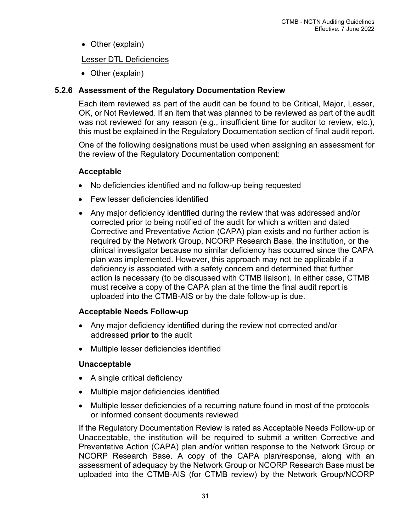• Other (explain)

## Lesser DTL Deficiencies

• Other (explain)

## <span id="page-39-0"></span>**5.2.6 Assessment of the Regulatory Documentation Review**

Each item reviewed as part of the audit can be found to be Critical, Major, Lesser, OK, or Not Reviewed. If an item that was planned to be reviewed as part of the audit was not reviewed for any reason (e.g., insufficient time for auditor to review, etc.), this must be explained in the Regulatory Documentation section of final audit report.

One of the following designations must be used when assigning an assessment for the review of the Regulatory Documentation component:

## **Acceptable**

- No deficiencies identified and no follow-up being requested
- Few lesser deficiencies identified
- Any major deficiency identified during the review that was addressed and/or corrected prior to being notified of the audit for which a written and dated Corrective and Preventative Action (CAPA) plan exists and no further action is required by the Network Group, NCORP Research Base, the institution, or the clinical investigator because no similar deficiency has occurred since the CAPA plan was implemented. However, this approach may not be applicable if a deficiency is associated with a safety concern and determined that further action is necessary (to be discussed with CTMB liaison). In either case, CTMB must receive a copy of the CAPA plan at the time the final audit report is uploaded into the CTMB-AIS or by the date follow-up is due.

## **Acceptable Needs Follow-up**

- Any major deficiency identified during the review not corrected and/or addressed **prior to** the audit
- Multiple lesser deficiencies identified

# **Unacceptable**

- A single critical deficiency
- Multiple major deficiencies identified
- Multiple lesser deficiencies of a recurring nature found in most of the protocols or informed consent documents reviewed

If the Regulatory Documentation Review is rated as Acceptable Needs Follow-up or Unacceptable, the institution will be required to submit a written Corrective and Preventative Action (CAPA) plan and/or written response to the Network Group or NCORP Research Base. A copy of the CAPA plan/response, along with an assessment of adequacy by the Network Group or NCORP Research Base must be uploaded into the CTMB-AIS (for CTMB review) by the Network Group/NCORP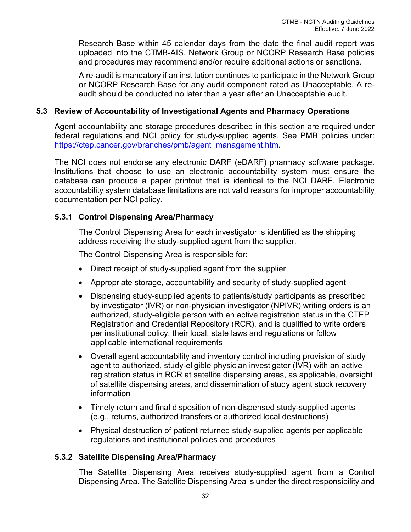Research Base within 45 calendar days from the date the final audit report was uploaded into the CTMB-AIS. Network Group or NCORP Research Base policies and procedures may recommend and/or require additional actions or sanctions.

A re-audit is mandatory if an institution continues to participate in the Network Group or NCORP Research Base for any audit component rated as Unacceptable. A reaudit should be conducted no later than a year after an Unacceptable audit.

## <span id="page-40-0"></span>**5.3 Review of Accountability of Investigational Agents and Pharmacy Operations**

Agent accountability and storage procedures described in this section are required under federal regulations and NCI policy for study-supplied agents. See PMB policies under: [https://ctep.cancer.gov/branches/pmb/agent\\_management.htm.](https://ctep.cancer.gov/branches/pmb/agent_management.htm)

The NCI does not endorse any electronic DARF (eDARF) pharmacy software package. Institutions that choose to use an electronic accountability system must ensure the database can produce a paper printout that is identical to the NCI DARF. Electronic accountability system database limitations are not valid reasons for improper accountability documentation per NCI policy.

## <span id="page-40-1"></span>**5.3.1 Control Dispensing Area/Pharmacy**

The Control Dispensing Area for each investigator is identified as the shipping address receiving the study-supplied agent from the supplier.

The Control Dispensing Area is responsible for:

- Direct receipt of study-supplied agent from the supplier
- Appropriate storage, accountability and security of study-supplied agent
- Dispensing study-supplied agents to patients/study participants as prescribed by investigator (IVR) or non-physician investigator (NPIVR) writing orders is an authorized, study-eligible person with an active registration status in the CTEP Registration and Credential Repository (RCR), and is qualified to write orders per institutional policy, their local, state laws and regulations or follow applicable international requirements
- Overall agent accountability and inventory control including provision of study agent to authorized, study-eligible physician investigator (IVR) with an active registration status in RCR at satellite dispensing areas, as applicable, oversight of satellite dispensing areas, and dissemination of study agent stock recovery information
- Timely return and final disposition of non-dispensed study-supplied agents (e.g., returns, authorized transfers or authorized local destructions)
- Physical destruction of patient returned study-supplied agents per applicable regulations and institutional policies and procedures

## <span id="page-40-2"></span>**5.3.2 Satellite Dispensing Area/Pharmacy**

The Satellite Dispensing Area receives study-supplied agent from a Control Dispensing Area. The Satellite Dispensing Area is under the direct responsibility and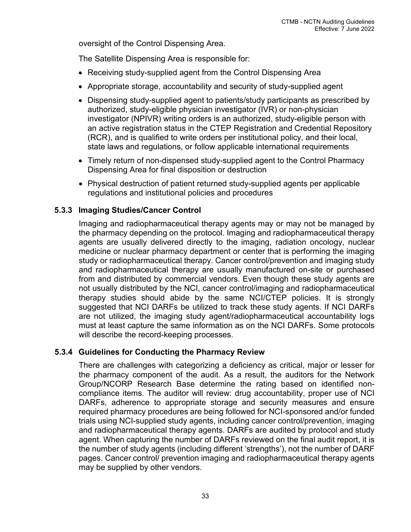oversight of the Control Dispensing Area.

The Satellite Dispensing Area is responsible for:

- Receiving study-supplied agent from the Control Dispensing Area
- Appropriate storage, accountability and security of study-supplied agent
- Dispensing study-supplied agent to patients/study participants as prescribed by authorized, study-eligible physician investigator (IVR) or non-physician investigator (NPIVR) writing orders is an authorized, study-eligible person with an active registration status in the CTEP Registration and Credential Repository (RCR), and is qualified to write orders per institutional policy, and their local, state laws and regulations, or follow applicable international requirements
- Timely return of non-dispensed study-supplied agent to the Control Pharmacy Dispensing Area for final disposition or destruction
- Physical destruction of patient returned study-supplied agents per applicable regulations and institutional policies and procedures

## <span id="page-41-0"></span>**5.3.3 Imaging Studies/Cancer Control**

Imaging and radiopharmaceutical therapy agents may or may not be managed by the pharmacy depending on the protocol. Imaging and radiopharmaceutical therapy agents are usually delivered directly to the imaging, radiation oncology, nuclear medicine or nuclear pharmacy department or center that is performing the imaging study or radiopharmaceutical therapy. Cancer control/prevention and imaging study and radiopharmaceutical therapy are usually manufactured on-site or purchased from and distributed by commercial vendors. Even though these study agents are not usually distributed by the NCI, cancer control/imaging and radiopharmaceutical therapy studies should abide by the same NCI/CTEP policies. It is strongly suggested that NCI DARFs be utilized to track these study agents. If NCI DARFs are not utilized, the imaging study agent/radiopharmaceutical accountability logs must at least capture the same information as on the NCI DARFs. Some protocols will describe the record-keeping processes.

## <span id="page-41-1"></span>**5.3.4 Guidelines for Conducting the Pharmacy Review**

<span id="page-41-2"></span>There are challenges with categorizing a deficiency as critical, major or lesser for the pharmacy component of the audit. As a result, the auditors for the Network Group/NCORP Research Base determine the rating based on identified noncompliance items. The auditor will review: drug accountability, proper use of NCI DARFs, adherence to appropriate storage and security measures and ensure required pharmacy procedures are being followed for NCI-sponsored and/or funded trials using NCI-supplied study agents, including cancer control/prevention, imaging and radiopharmaceutical therapy agents. DARFs are audited by protocol and study agent. When capturing the number of DARFs reviewed on the final audit report, it is the number of study agents (including different 'strengths'), not the number of DARF pages. Cancer control/ prevention imaging and radiopharmaceutical therapy agents may be supplied by other vendors.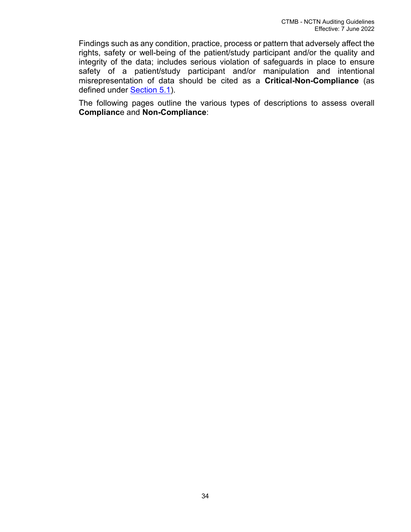Findings such as any condition, practice, process or pattern that adversely affect the rights, safety or well-being of the patient/study participant and/or the quality and integrity of the data; includes serious violation of safeguards in place to ensure safety of a patient/study participant and/or manipulation and intentional misrepresentation of data should be cited as a **Critical-Non-Compliance** (as defined under [Section 5.1\)](#page-33-3).

The following pages outline the various types of descriptions to assess overall **Complianc**e and **Non-Compliance**: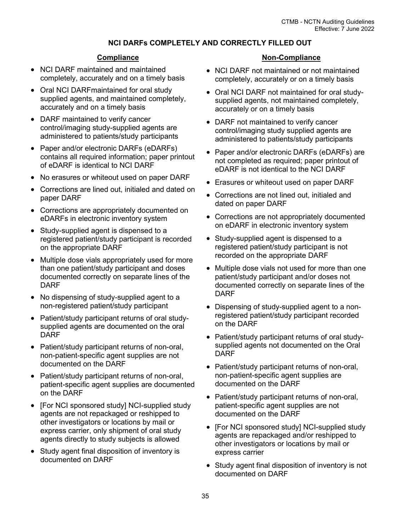#### **NCI DARFs COMPLETELY AND CORRECTLY FILLED OUT**

#### **Compliance**

- NCI DARF maintained and maintained completely, accurately and on a timely basis
- Oral NCI DARFmaintained for oral study supplied agents, and maintained completely, accurately and on a timely basis
- DARF maintained to verify cancer control/imaging study-supplied agents are administered to patients/study participants
- Paper and/or electronic DARFs (eDARFs) contains all required information; paper printout of eDARF is identical to NCI DARF
- No erasures or whiteout used on paper DARF
- Corrections are lined out, initialed and dated on paper DARF
- Corrections are appropriately documented on eDARFs in electronic inventory system
- Study-supplied agent is dispensed to a registered patient/study participant is recorded on the appropriate DARF
- Multiple dose vials appropriately used for more than one patient/study participant and doses documented correctly on separate lines of the DARF
- No dispensing of study-supplied agent to a non-registered patient/study participant
- Patient/study participant returns of oral studysupplied agents are documented on the oral DARF
- Patient/study participant returns of non-oral, non-patient-specific agent supplies are not documented on the DARF
- Patient/study participant returns of non-oral, patient-specific agent supplies are documented on the DARF
- [For NCI sponsored study] NCI-supplied study agents are not repackaged or reshipped to other investigators or locations by mail or express carrier, only shipment of oral study agents directly to study subjects is allowed
- Study agent final disposition of inventory is documented on DARF

- NCI DARF not maintained or not maintained completely, accurately or on a timely basis
- Oral NCI DARF not maintained for oral studysupplied agents, not maintained completely, accurately or on a timely basis
- DARF not maintained to verify cancer control/imaging study supplied agents are administered to patients/study participants
- Paper and/or electronic DARFs (eDARFs) are not completed as required; paper printout of eDARF is not identical to the NCI DARF
- Erasures or whiteout used on paper DARF
- Corrections are not lined out, initialed and dated on paper DARF
- Corrections are not appropriately documented on eDARF in electronic inventory system
- Study-supplied agent is dispensed to a registered patient/study participant is not recorded on the appropriate DARF
- Multiple dose vials not used for more than one patient/study participant and/or doses not documented correctly on separate lines of the DARF
- Dispensing of study-supplied agent to a nonregistered patient/study participant recorded on the DARF
- Patient/study participant returns of oral studysupplied agents not documented on the Oral DARF
- Patient/study participant returns of non-oral, non-patient-specific agent supplies are documented on the DARF
- Patient/study participant returns of non-oral, patient-specific agent supplies are not documented on the DARF
- [For NCI sponsored study] NCI-supplied study agents are repackaged and/or reshipped to other investigators or locations by mail or express carrier
- Study agent final disposition of inventory is not documented on DARF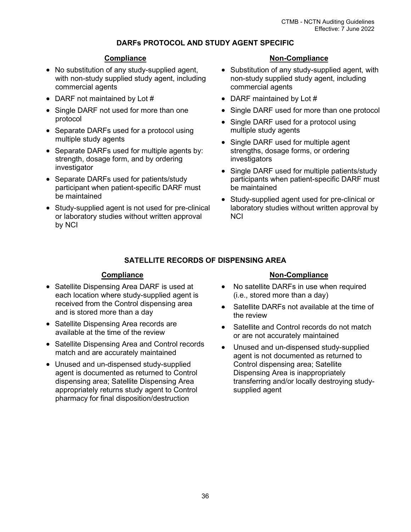#### **DARFs PROTOCOL AND STUDY AGENT SPECIFIC**

#### **Compliance**

- No substitution of any study-supplied agent, with non-study supplied study agent, including commercial agents
- DARF not maintained by Lot #
- Single DARF not used for more than one protocol
- Separate DARFs used for a protocol using multiple study agents
- Separate DARFs used for multiple agents by: strength, dosage form, and by ordering investigator
- Separate DARFs used for patients/study participant when patient-specific DARF must be maintained
- Study-supplied agent is not used for pre-clinical or laboratory studies without written approval by NCI

#### **Non-Compliance**

- Substitution of any study-supplied agent, with non-study supplied study agent, including commercial agents
- DARF maintained by Lot #
- Single DARF used for more than one protocol
- Single DARF used for a protocol using multiple study agents
- Single DARF used for multiple agent strengths, dosage forms, or ordering investigators
- Single DARF used for multiple patients/study participants when patient-specific DARF must be maintained
- Study-supplied agent used for pre-clinical or laboratory studies without written approval by **NCI**

#### **SATELLITE RECORDS OF DISPENSING AREA**

#### **Compliance**

- Satellite Dispensing Area DARF is used at each location where study-supplied agent is received from the Control dispensing area and is stored more than a day
- Satellite Dispensing Area records are available at the time of the review
- Satellite Dispensing Area and Control records match and are accurately maintained
- Unused and un-dispensed study-supplied agent is documented as returned to Control dispensing area; Satellite Dispensing Area appropriately returns study agent to Control pharmacy for final disposition/destruction

- No satellite DARFs in use when required (i.e., stored more than a day)
- Satellite DARFs not available at the time of the review
- Satellite and Control records do not match or are not accurately maintained
- Unused and un-dispensed study-supplied agent is not documented as returned to Control dispensing area; Satellite Dispensing Area is inappropriately transferring and/or locally destroying studysupplied agent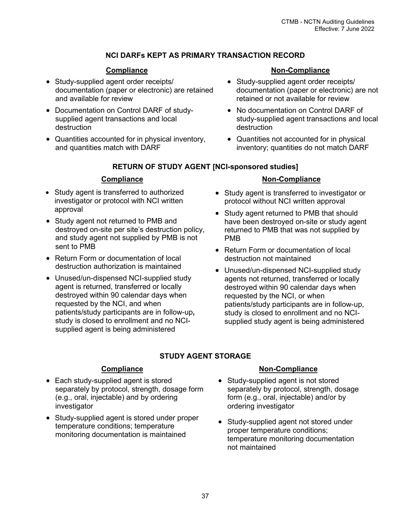## **NCI DARFs KEPT AS PRIMARY TRANSACTION RECORD**

## **Compliance**

- Study-supplied agent order receipts/ documentation (paper or electronic) are retained and available for review
- Documentation on Control DARF of studysupplied agent transactions and local destruction
- Quantities accounted for in physical inventory, and quantities match with DARF

## **Non-Compliance**

- Study-supplied agent order receipts/ documentation (paper or electronic) are not retained or not available for review
- No documentation on Control DARF of study-supplied agent transactions and local destruction
- Quantities not accounted for in physical inventory; quantities do not match DARF

#### **RETURN OF STUDY AGENT [NCI-sponsored studies]**

## **Compliance**

- Study agent is transferred to authorized investigator or protocol with NCI written approval
- Study agent not returned to PMB and destroyed on-site per site's destruction policy, and study agent not supplied by PMB is not sent to PMB
- Return Form or documentation of local destruction authorization is maintained
- Unused/un-dispensed NCI-supplied study agent is returned, transferred or locally destroyed within 90 calendar days when requested by the NCI, and when patients/study participants are in follow-up**,**  study is closed to enrollment and no NCIsupplied agent is being administered

## **Non-Compliance**

- Study agent is transferred to investigator or protocol without NCI written approval
- Study agent returned to PMB that should have been destroyed on-site or study agent returned to PMB that was not supplied by PMB
- Return Form or documentation of local destruction not maintained
- Unused/un-dispensed NCI-supplied study agents not returned, transferred or locally destroyed within 90 calendar days when requested by the NCI, or when patients/study participants are in follow-up, study is closed to enrollment and no NCIsupplied study agent is being administered

# **STUDY AGENT STORAGE**

## **Compliance**

- Each study-supplied agent is stored separately by protocol, strength, dosage form (e.g., oral, injectable) and by ordering investigator
- Study-supplied agent is stored under proper temperature conditions; temperature monitoring documentation is maintained

- Study-supplied agent is not stored separately by protocol, strength, dosage form (e.g., oral, injectable) and/or by ordering investigator
- Study-supplied agent not stored under proper temperature conditions; temperature monitoring documentation not maintained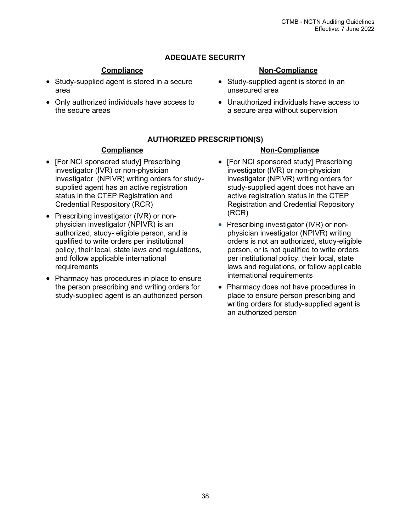## **ADEQUATE SECURITY**

#### **Compliance**

- Study-supplied agent is stored in a secure area
- Only authorized individuals have access to the secure areas

## **Non-Compliance**

- Study-supplied agent is stored in an unsecured area
- Unauthorized individuals have access to a secure area without supervision

#### **AUTHORIZED PRESCRIPTION(S)**

#### **Compliance**

- [For NCI sponsored study] Prescribing investigator (IVR) or non-physician investigator (NPIVR) writing orders for studysupplied agent has an active registration status in the CTEP Registration and Credential Respository (RCR)
- Prescribing investigator (IVR) or nonphysician investigator (NPIVR) is an authorized, study- eligible person, and is qualified to write orders per institutional policy, their local, state laws and regulations, and follow applicable international requirements
- Pharmacy has procedures in place to ensure the person prescribing and writing orders for study-supplied agent is an authorized person

- [For NCI sponsored study] Prescribing investigator (IVR) or non-physician investigator (NPIVR) writing orders for study-supplied agent does not have an active registration status in the CTEP Registration and Credential Repository (RCR)
- Prescribing investigator (IVR) or nonphysician investigator (NPIVR) writing orders is not an authorized, study-eligible person, or is not qualified to write orders per institutional policy, their local, state laws and regulations, or follow applicable international requirements
- Pharmacy does not have procedures in place to ensure person prescribing and writing orders for study-supplied agent is an authorized person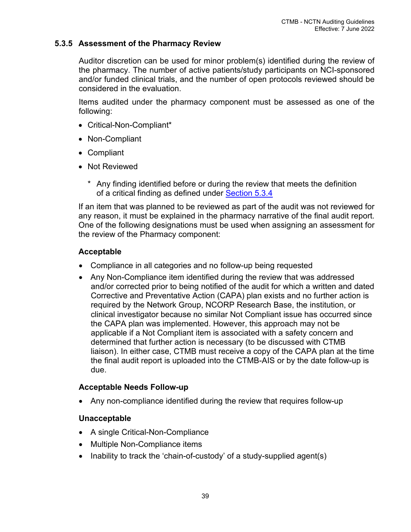## **5.3.5 Assessment of the Pharmacy Review**

Auditor discretion can be used for minor problem(s) identified during the review of the pharmacy. The number of active patients/study participants on NCI-sponsored and/or funded clinical trials, and the number of open protocols reviewed should be considered in the evaluation.

Items audited under the pharmacy component must be assessed as one of the following:

- Critical-Non-Compliant\*
- Non-Compliant
- Compliant
- Not Reviewed
	- Any finding identified before or during the review that meets the definition of a critical finding as defined under [Section 5.3.4](#page-41-2)

If an item that was planned to be reviewed as part of the audit was not reviewed for any reason, it must be explained in the pharmacy narrative of the final audit report. One of the following designations must be used when assigning an assessment for the review of the Pharmacy component:

## **Acceptable**

- Compliance in all categories and no follow-up being requested
- Any Non-Compliance item identified during the review that was addressed and/or corrected prior to being notified of the audit for which a written and dated Corrective and Preventative Action (CAPA) plan exists and no further action is required by the Network Group, NCORP Research Base, the institution, or clinical investigator because no similar Not Compliant issue has occurred since the CAPA plan was implemented. However, this approach may not be applicable if a Not Compliant item is associated with a safety concern and determined that further action is necessary (to be discussed with CTMB liaison). In either case, CTMB must receive a copy of the CAPA plan at the time the final audit report is uploaded into the CTMB-AIS or by the date follow-up is due.

## **Acceptable Needs Follow-up**

• Any non-compliance identified during the review that requires follow-up

## **Unacceptable**

- A single Critical-Non-Compliance
- Multiple Non-Compliance items
- Inability to track the 'chain-of-custody' of a study-supplied agent(s)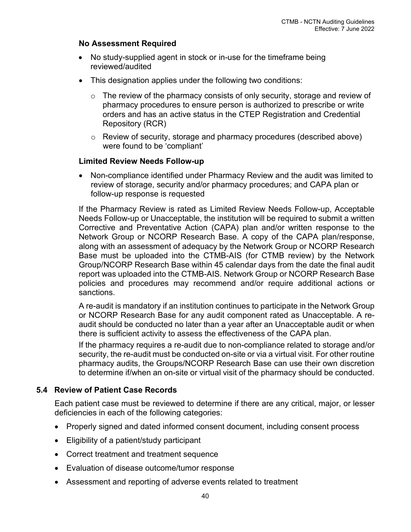## **No Assessment Required**

- No study-supplied agent in stock or in-use for the timeframe being reviewed/audited
- This designation applies under the following two conditions:
	- o The review of the pharmacy consists of only security, storage and review of pharmacy procedures to ensure person is authorized to prescribe or write orders and has an active status in the CTEP Registration and Credential Repository (RCR)
	- o Review of security, storage and pharmacy procedures (described above) were found to be 'compliant'

## **Limited Review Needs Follow-up**

• Non-compliance identified under Pharmacy Review and the audit was limited to review of storage, security and/or pharmacy procedures; and CAPA plan or follow-up response is requested

If the Pharmacy Review is rated as Limited Review Needs Follow-up, Acceptable Needs Follow-up or Unacceptable, the institution will be required to submit a written Corrective and Preventative Action (CAPA) plan and/or written response to the Network Group or NCORP Research Base. A copy of the CAPA plan/response, along with an assessment of adequacy by the Network Group or NCORP Research Base must be uploaded into the CTMB-AIS (for CTMB review) by the Network Group/NCORP Research Base within 45 calendar days from the date the final audit report was uploaded into the CTMB-AIS. Network Group or NCORP Research Base policies and procedures may recommend and/or require additional actions or sanctions.

A re-audit is mandatory if an institution continues to participate in the Network Group or NCORP Research Base for any audit component rated as Unacceptable. A reaudit should be conducted no later than a year after an Unacceptable audit or when there is sufficient activity to assess the effectiveness of the CAPA plan.

If the pharmacy requires a re-audit due to non-compliance related to storage and/or security, the re-audit must be conducted on-site or via a virtual visit. For other routine pharmacy audits, the Groups/NCORP Research Base can use their own discretion to determine if/when an on-site or virtual visit of the pharmacy should be conducted.

## <span id="page-48-0"></span>**5.4 Review of Patient Case Records**

Each patient case must be reviewed to determine if there are any critical, major, or lesser deficiencies in each of the following categories:

- Properly signed and dated informed consent document, including consent process
- Eligibility of a patient/study participant
- Correct treatment and treatment sequence
- Evaluation of disease outcome/tumor response
- Assessment and reporting of adverse events related to treatment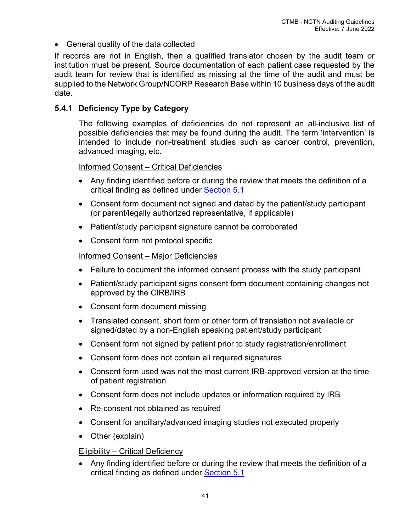• General quality of the data collected

If records are not in English, then a qualified translator chosen by the audit team or institution must be present. Source documentation of each patient case requested by the audit team for review that is identified as missing at the time of the audit and must be supplied to the Network Group/NCORP Research Base within 10 business days of the audit date.

## <span id="page-49-0"></span>**5.4.1 Deficiency Type by Category**

The following examples of deficiencies do not represent an all-inclusive list of possible deficiencies that may be found during the audit. The term 'intervention' is intended to include non-treatment studies such as cancer control, prevention, advanced imaging, etc.

Informed Consent – Critical Deficiencies

- Any finding identified before or during the review that meets the definition of a critical finding as defined under [Section 5.1](#page-33-3)
- Consent form document not signed and dated by the patient/study participant (or parent/legally authorized representative, if applicable)
- Patient/study participant signature cannot be corroborated
- Consent form not protocol specific

## Informed Consent – Major Deficiencies

- Failure to document the informed consent process with the study participant
- Patient/study participant signs consent form document containing changes not approved by the CIRB/IRB
- Consent form document missing
- Translated consent, short form or other form of translation not available or signed/dated by a non-English speaking patient/study participant
- Consent form not signed by patient prior to study registration/enrollment
- Consent form does not contain all required signatures
- Consent form used was not the most current IRB-approved version at the time of patient registration
- Consent form does not include updates or information required by IRB
- Re-consent not obtained as required
- Consent for ancillary/advanced imaging studies not executed properly
- Other (explain)

## Eligibility – Critical Deficiency

• Any finding identified before or during the review that meets the definition of a critical finding as defined under **Section 5.1**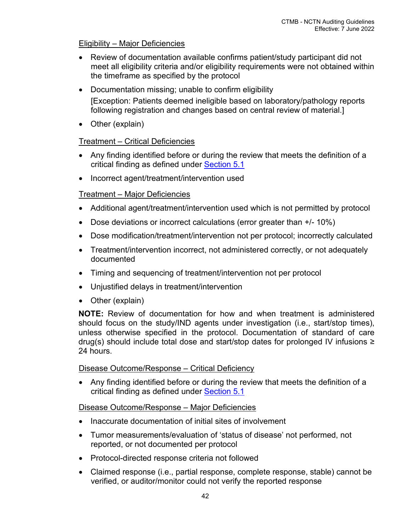## Eligibility – Major Deficiencies

- Review of documentation available confirms patient/study participant did not meet all eligibility criteria and/or eligibility requirements were not obtained within the timeframe as specified by the protocol
- Documentation missing; unable to confirm eligibility [Exception: Patients deemed ineligible based on laboratory/pathology reports following registration and changes based on central review of material.]
- Other (explain)

# Treatment – Critical Deficiencies

- Any finding identified before or during the review that meets the definition of a critical finding as defined under [Section 5.1](#page-33-3)
- Incorrect agent/treatment/intervention used

# Treatment – Major Deficiencies

- Additional agent/treatment/intervention used which is not permitted by protocol
- Dose deviations or incorrect calculations (error greater than  $+/-10\%$ )
- Dose modification/treatment/intervention not per protocol; incorrectly calculated
- Treatment/intervention incorrect, not administered correctly, or not adequately documented
- Timing and sequencing of treatment/intervention not per protocol
- Unjustified delays in treatment/intervention
- Other (explain)

**NOTE:** Review of documentation for how and when treatment is administered should focus on the study/IND agents under investigation (i.e., start/stop times), unless otherwise specified in the protocol. Documentation of standard of care drug(s) should include total dose and start/stop dates for prolonged IV infusions ≥ 24 hours.

# Disease Outcome/Response – Critical Deficiency

• Any finding identified before or during the review that meets the definition of a critical finding as defined under [Section 5.1](#page-33-3)

# Disease Outcome/Response – Major Deficiencies

- Inaccurate documentation of initial sites of involvement
- Tumor measurements/evaluation of 'status of disease' not performed, not reported, or not documented per protocol
- Protocol-directed response criteria not followed
- Claimed response (i.e., partial response, complete response, stable) cannot be verified, or auditor/monitor could not verify the reported response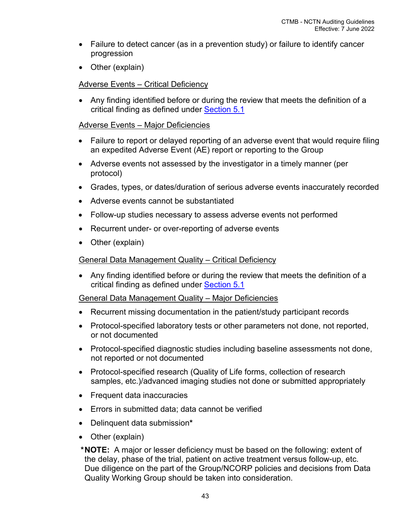- Failure to detect cancer (as in a prevention study) or failure to identify cancer progression
- Other (explain)

## Adverse Events – Critical Deficiency

• Any finding identified before or during the review that meets the definition of a critical finding as defined under [Section 5.1](#page-33-3)

## Adverse Events – Major Deficiencies

- Failure to report or delayed reporting of an adverse event that would require filing an expedited Adverse Event (AE) report or reporting to the Group
- Adverse events not assessed by the investigator in a timely manner (per protocol)
- Grades, types, or dates/duration of serious adverse events inaccurately recorded
- Adverse events cannot be substantiated
- Follow-up studies necessary to assess adverse events not performed
- Recurrent under- or over-reporting of adverse events
- Other (explain)

## General Data Management Quality – Critical Deficiency

• Any finding identified before or during the review that meets the definition of a critical finding as defined under [Section 5.1](#page-33-3)

## General Data Management Quality – Major Deficiencies

- Recurrent missing documentation in the patient/study participant records
- Protocol-specified laboratory tests or other parameters not done, not reported, or not documented
- Protocol-specified diagnostic studies including baseline assessments not done, not reported or not documented
- Protocol-specified research (Quality of Life forms, collection of research samples, etc.)/advanced imaging studies not done or submitted appropriately
- Frequent data inaccuracies
- Errors in submitted data; data cannot be verified
- Delinquent data submission**\***
- Other (explain)

 **\* NOTE:** A major or lesser deficiency must be based on the following: extent of the delay, phase of the trial, patient on active treatment versus follow-up, etc. Due diligence on the part of the Group/NCORP policies and decisions from Data Quality Working Group should be taken into consideration.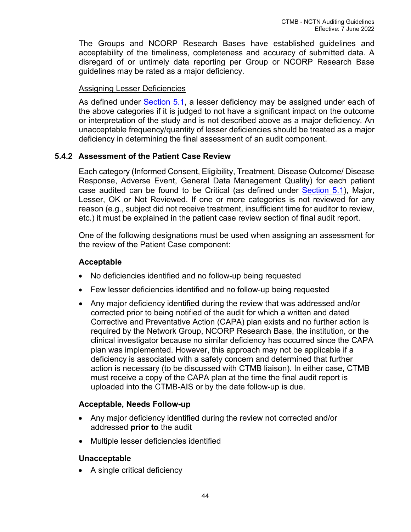The Groups and NCORP Research Bases have established guidelines and acceptability of the timeliness, completeness and accuracy of submitted data. A disregard of or untimely data reporting per Group or NCORP Research Base guidelines may be rated as a major deficiency.

## Assigning Lesser Deficiencies

As defined under [Section 5.1,](#page-41-1) a lesser deficiency may be assigned under each of the above categories if it is judged to not have a significant impact on the outcome or interpretation of the study and is not described above as a major deficiency. An unacceptable frequency/quantity of lesser deficiencies should be treated as a major deficiency in determining the final assessment of an audit component.

# <span id="page-52-0"></span>**5.4.2 Assessment of the Patient Case Review**

Each category (Informed Consent, Eligibility, Treatment, Disease Outcome/ Disease Response, Adverse Event, General Data Management Quality) for each patient case audited can be found to be Critical (as defined under [Section 5.1\)](#page-33-3), Major, Lesser, OK or Not Reviewed. If one or more categories is not reviewed for any reason (e.g., subject did not receive treatment, insufficient time for auditor to review, etc.) it must be explained in the patient case review section of final audit report.

One of the following designations must be used when assigning an assessment for the review of the Patient Case component:

## **Acceptable**

- No deficiencies identified and no follow-up being requested
- Few lesser deficiencies identified and no follow-up being requested
- Any major deficiency identified during the review that was addressed and/or corrected prior to being notified of the audit for which a written and dated Corrective and Preventative Action (CAPA) plan exists and no further action is required by the Network Group, NCORP Research Base, the institution, or the clinical investigator because no similar deficiency has occurred since the CAPA plan was implemented. However, this approach may not be applicable if a deficiency is associated with a safety concern and determined that further action is necessary (to be discussed with CTMB liaison). In either case, CTMB must receive a copy of the CAPA plan at the time the final audit report is uploaded into the CTMB-AIS or by the date follow-up is due.

## **Acceptable, Needs Follow-up**

- Any major deficiency identified during the review not corrected and/or addressed **prior to** the audit
- Multiple lesser deficiencies identified

# **Unacceptable**

• A single critical deficiency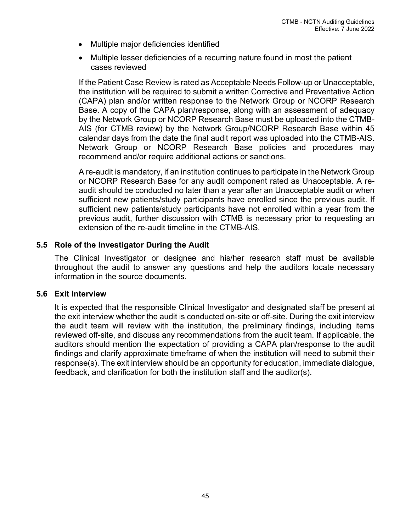- Multiple major deficiencies identified
- Multiple lesser deficiencies of a recurring nature found in most the patient cases reviewed

If the Patient Case Review is rated as Acceptable Needs Follow-up or Unacceptable, the institution will be required to submit a written Corrective and Preventative Action (CAPA) plan and/or written response to the Network Group or NCORP Research Base. A copy of the CAPA plan/response, along with an assessment of adequacy by the Network Group or NCORP Research Base must be uploaded into the CTMB-AIS (for CTMB review) by the Network Group/NCORP Research Base within 45 calendar days from the date the final audit report was uploaded into the CTMB-AIS. Network Group or NCORP Research Base policies and procedures may recommend and/or require additional actions or sanctions.

A re-audit is mandatory, if an institution continues to participate in the Network Group or NCORP Research Base for any audit component rated as Unacceptable. A reaudit should be conducted no later than a year after an Unacceptable audit or when sufficient new patients/study participants have enrolled since the previous audit. If sufficient new patients/study participants have not enrolled within a year from the previous audit, further discussion with CTMB is necessary prior to requesting an extension of the re-audit timeline in the CTMB-AIS.

#### <span id="page-53-0"></span>**5.5 Role of the Investigator During the Audit**

The Clinical Investigator or designee and his/her research staff must be available throughout the audit to answer any questions and help the auditors locate necessary information in the source documents.

#### <span id="page-53-1"></span>**5.6 Exit Interview**

It is expected that the responsible Clinical Investigator and designated staff be present at the exit interview whether the audit is conducted on-site or off-site. During the exit interview the audit team will review with the institution, the preliminary findings, including items reviewed off-site, and discuss any recommendations from the audit team. If applicable, the auditors should mention the expectation of providing a CAPA plan/response to the audit findings and clarify approximate timeframe of when the institution will need to submit their response(s). The exit interview should be an opportunity for education, immediate dialogue, feedback, and clarification for both the institution staff and the auditor(s).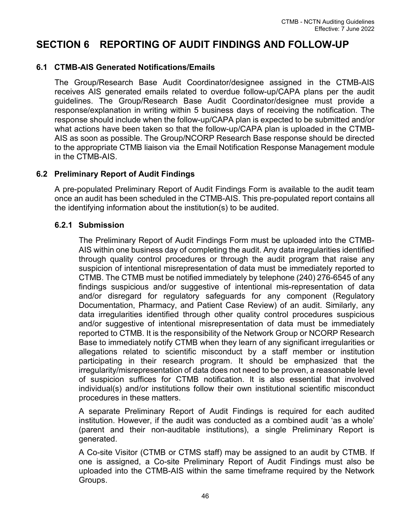# <span id="page-54-0"></span>**SECTION 6 REPORTING OF AUDIT FINDINGS AND FOLLOW-UP**

## <span id="page-54-1"></span>**6.1 CTMB-AIS Generated Notifications/Emails**

The Group/Research Base Audit Coordinator/designee assigned in the CTMB-AIS receives AIS generated emails related to overdue follow-up/CAPA plans per the audit guidelines. The Group/Research Base Audit Coordinator/designee must provide a response/explanation in writing within 5 business days of receiving the notification. The response should include when the follow-up/CAPA plan is expected to be submitted and/or what actions have been taken so that the follow-up/CAPA plan is uploaded in the CTMB-AIS as soon as possible. The Group/NCORP Research Base response should be directed to the appropriate CTMB liaison via the Email Notification Response Management module in the CTMB-AIS.

## <span id="page-54-2"></span>**6.2 Preliminary Report of Audit Findings**

A pre-populated Preliminary Report of Audit Findings Form is available to the audit team once an audit has been scheduled in the CTMB-AIS. This pre-populated report contains all the identifying information about the institution(s) to be audited.

## <span id="page-54-3"></span>**6.2.1 Submission**

The Preliminary Report of Audit Findings Form must be uploaded into the CTMB-AIS within one business day of completing the audit. Any data irregularities identified through quality control procedures or through the audit program that raise any suspicion of intentional misrepresentation of data must be immediately reported to CTMB. The CTMB must be notified immediately by telephone (240) 276-6545 of any findings suspicious and/or suggestive of intentional mis-representation of data and/or disregard for regulatory safeguards for any component (Regulatory Documentation, Pharmacy, and Patient Case Review) of an audit. Similarly, any data irregularities identified through other quality control procedures suspicious and/or suggestive of intentional misrepresentation of data must be immediately reported to CTMB. It is the responsibility of the Network Group or NCORP Research Base to immediately notify CTMB when they learn of any significant irregularities or allegations related to scientific misconduct by a staff member or institution participating in their research program. It should be emphasized that the irregularity/misrepresentation of data does not need to be proven, a reasonable level of suspicion suffices for CTMB notification. It is also essential that involved individual(s) and/or institutions follow their own institutional scientific misconduct procedures in these matters.

A separate Preliminary Report of Audit Findings is required for each audited institution. However, if the audit was conducted as a combined audit 'as a whole' (parent and their non-auditable institutions), a single Preliminary Report is generated.

A Co-site Visitor (CTMB or CTMS staff) may be assigned to an audit by CTMB. If one is assigned, a Co-site Preliminary Report of Audit Findings must also be uploaded into the CTMB-AIS within the same timeframe required by the Network Groups.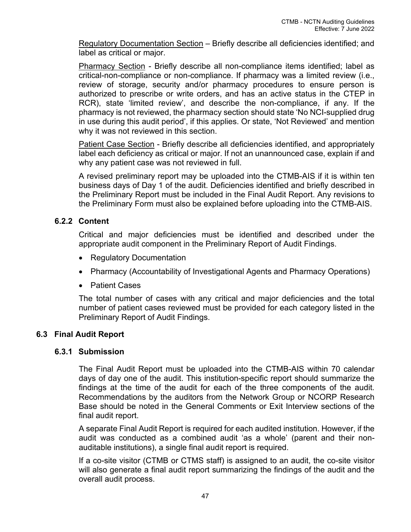Regulatory Documentation Section – Briefly describe all deficiencies identified; and label as critical or major.

Pharmacy Section - Briefly describe all non-compliance items identified; label as critical-non-compliance or non-compliance. If pharmacy was a limited review (i.e., review of storage, security and/or pharmacy procedures to ensure person is authorized to prescribe or write orders, and has an active status in the CTEP in RCR), state 'limited review', and describe the non-compliance, if any. If the pharmacy is not reviewed, the pharmacy section should state 'No NCI-supplied drug in use during this audit period', if this applies. Or state, 'Not Reviewed' and mention why it was not reviewed in this section.

Patient Case Section - Briefly describe all deficiencies identified, and appropriately label each deficiency as critical or major. If not an unannounced case, explain if and why any patient case was not reviewed in full.

A revised preliminary report may be uploaded into the CTMB-AIS if it is within ten business days of Day 1 of the audit. Deficiencies identified and briefly described in the Preliminary Report must be included in the Final Audit Report. Any revisions to the Preliminary Form must also be explained before uploading into the CTMB-AIS.

## <span id="page-55-0"></span>**6.2.2 Content**

Critical and major deficiencies must be identified and described under the appropriate audit component in the Preliminary Report of Audit Findings.

- Regulatory Documentation
- Pharmacy (Accountability of Investigational Agents and Pharmacy Operations)
- Patient Cases

The total number of cases with any critical and major deficiencies and the total number of patient cases reviewed must be provided for each category listed in the Preliminary Report of Audit Findings.

# <span id="page-55-2"></span><span id="page-55-1"></span>**6.3 Final Audit Report**

## **6.3.1 Submission**

The Final Audit Report must be uploaded into the CTMB-AIS within 70 calendar days of day one of the audit. This institution-specific report should summarize the findings at the time of the audit for each of the three components of the audit. Recommendations by the auditors from the Network Group or NCORP Research Base should be noted in the General Comments or Exit Interview sections of the final audit report.

A separate Final Audit Report is required for each audited institution. However, if the audit was conducted as a combined audit 'as a whole' (parent and their nonauditable institutions), a single final audit report is required.

If a co-site visitor (CTMB or CTMS staff) is assigned to an audit, the co-site visitor will also generate a final audit report summarizing the findings of the audit and the overall audit process.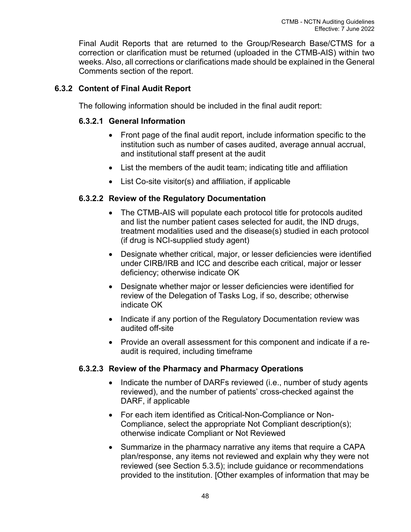Final Audit Reports that are returned to the Group/Research Base/CTMS for a correction or clarification must be returned (uploaded in the CTMB-AIS) within two weeks. Also, all corrections or clarifications made should be explained in the General Comments section of the report.

# <span id="page-56-1"></span><span id="page-56-0"></span>**6.3.2 Content of Final Audit Report**

The following information should be included in the final audit report:

## **6.3.2.1 General Information**

- Front page of the final audit report, include information specific to the institution such as number of cases audited, average annual accrual, and institutional staff present at the audit
- List the members of the audit team; indicating title and affiliation
- List Co-site visitor(s) and affiliation, if applicable

## <span id="page-56-2"></span>**6.3.2.2 Review of the Regulatory Documentation**

- The CTMB-AIS will populate each protocol title for protocols audited and list the number patient cases selected for audit, the IND drugs, treatment modalities used and the disease(s) studied in each protocol (if drug is NCI-supplied study agent)
- Designate whether critical, major, or lesser deficiencies were identified under CIRB/IRB and ICC and describe each critical, major or lesser deficiency; otherwise indicate OK
- Designate whether major or lesser deficiencies were identified for review of the Delegation of Tasks Log, if so, describe; otherwise indicate OK
- Indicate if any portion of the Regulatory Documentation review was audited off-site
- Provide an overall assessment for this component and indicate if a reaudit is required, including timeframe

## <span id="page-56-3"></span>**6.3.2.3 Review of the Pharmacy and Pharmacy Operations**

- Indicate the number of DARFs reviewed (i.e., number of study agents reviewed), and the number of patients' cross-checked against the DARF, if applicable
- For each item identified as Critical-Non-Compliance or Non-Compliance, select the appropriate Not Compliant description(s); otherwise indicate Compliant or Not Reviewed
- Summarize in the pharmacy narrative any items that require a CAPA plan/response, any items not reviewed and explain why they were not reviewed (see Section 5.3.5); include guidance or recommendations provided to the institution. [Other examples of information that may be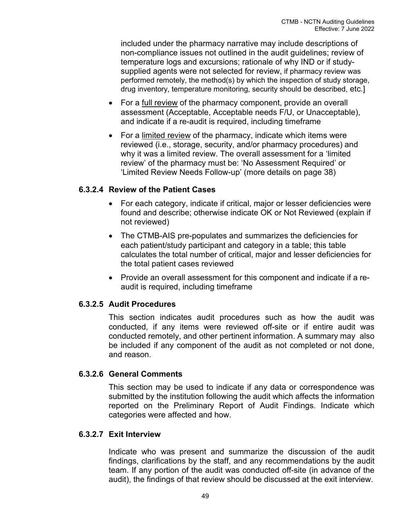included under the pharmacy narrative may include descriptions of non-compliance issues not outlined in the audit guidelines; review of temperature logs and excursions; rationale of why IND or if studysupplied agents were not selected for review, if pharmacy review was performed remotely, the method(s) by which the inspection of study storage, drug inventory, temperature monitoring, security should be described, etc.]

- For a full review of the pharmacy component, provide an overall assessment (Acceptable, Acceptable needs F/U, or Unacceptable), and indicate if a re-audit is required, including timeframe
- For a limited review of the pharmacy, indicate which items were reviewed (i.e., storage, security, and/or pharmacy procedures) and why it was a limited review. The overall assessment for a 'limited review' of the pharmacy must be: 'No Assessment Required' or 'Limited Review Needs Follow-up' (more details on page 38)

## <span id="page-57-0"></span>**6.3.2.4 Review of the Patient Cases**

- For each category, indicate if critical, major or lesser deficiencies were found and describe; otherwise indicate OK or Not Reviewed (explain if not reviewed)
- The CTMB-AIS pre-populates and summarizes the deficiencies for each patient/study participant and category in a table; this table calculates the total number of critical, major and lesser deficiencies for the total patient cases reviewed
- Provide an overall assessment for this component and indicate if a reaudit is required, including timeframe

## <span id="page-57-1"></span>**6.3.2.5 Audit Procedures**

This section indicates audit procedures such as how the audit was conducted, if any items were reviewed off-site or if entire audit was conducted remotely, and other pertinent information. A summary may also be included if any component of the audit as not completed or not done, and reason.

## <span id="page-57-2"></span>**6.3.2.6 General Comments**

This section may be used to indicate if any data or correspondence was submitted by the institution following the audit which affects the information reported on the Preliminary Report of Audit Findings. Indicate which categories were affected and how.

## <span id="page-57-3"></span>**6.3.2.7 Exit Interview**

Indicate who was present and summarize the discussion of the audit findings, clarifications by the staff, and any recommendations by the audit team. If any portion of the audit was conducted off-site (in advance of the audit), the findings of that review should be discussed at the exit interview.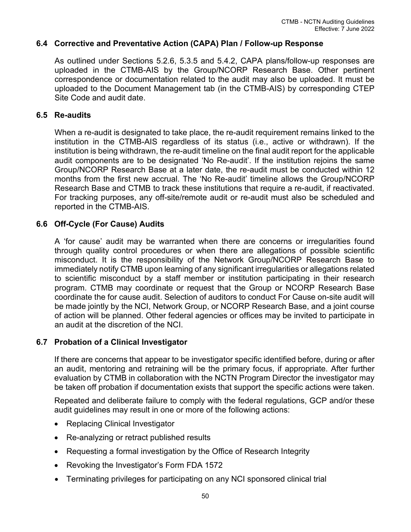## <span id="page-58-0"></span>**6.4 Corrective and Preventative Action (CAPA) Plan / Follow-up Response**

As outlined under Sections 5.2.6, 5.3.5 and 5.4.2, CAPA plans/follow-up responses are uploaded in the CTMB-AIS by the Group/NCORP Research Base. Other pertinent correspondence or documentation related to the audit may also be uploaded. It must be uploaded to the Document Management tab (in the CTMB-AIS) by corresponding CTEP Site Code and audit date.

## <span id="page-58-1"></span>**6.5 Re-audits**

When a re-audit is designated to take place, the re-audit requirement remains linked to the institution in the CTMB-AIS regardless of its status (i.e., active or withdrawn). If the institution is being withdrawn, the re-audit timeline on the final audit report for the applicable audit components are to be designated 'No Re-audit'. If the institution rejoins the same Group/NCORP Research Base at a later date, the re-audit must be conducted within 12 months from the first new accrual. The 'No Re-audit' timeline allows the Group/NCORP Research Base and CTMB to track these institutions that require a re-audit, if reactivated. For tracking purposes, any off-site/remote audit or re-audit must also be scheduled and reported in the CTMB-AIS.

## <span id="page-58-2"></span>**6.6 Off-Cycle (For Cause) Audits**

A 'for cause' audit may be warranted when there are concerns or irregularities found through quality control procedures or when there are allegations of possible scientific misconduct. It is the responsibility of the Network Group/NCORP Research Base to immediately notify CTMB upon learning of any significant irregularities or allegations related to scientific misconduct by a staff member or institution participating in their research program. CTMB may coordinate or request that the Group or NCORP Research Base coordinate the for cause audit. Selection of auditors to conduct For Cause on-site audit will be made jointly by the NCI, Network Group, or NCORP Research Base, and a joint course of action will be planned. Other federal agencies or offices may be invited to participate in an audit at the discretion of the NCI.

## <span id="page-58-3"></span>**6.7 Probation of a Clinical Investigator**

If there are concerns that appear to be investigator specific identified before, during or after an audit, mentoring and retraining will be the primary focus, if appropriate. After further evaluation by CTMB in collaboration with the NCTN Program Director the investigator may be taken off probation if documentation exists that support the specific actions were taken.

Repeated and deliberate failure to comply with the federal regulations, GCP and/or these audit guidelines may result in one or more of the following actions:

- Replacing Clinical Investigator
- Re-analyzing or retract published results
- Requesting a formal investigation by the Office of Research Integrity
- Revoking the Investigator's Form FDA 1572
- Terminating privileges for participating on any NCI sponsored clinical trial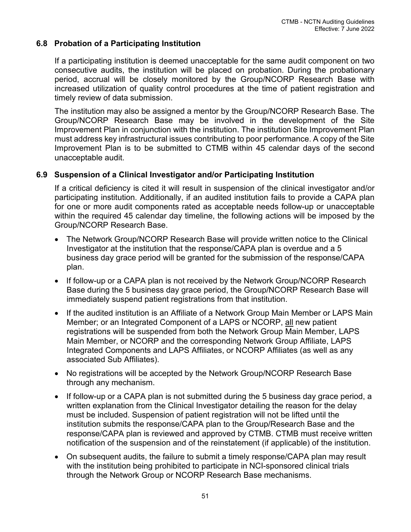## <span id="page-59-0"></span>**6.8 Probation of a Participating Institution**

If a participating institution is deemed unacceptable for the same audit component on two consecutive audits, the institution will be placed on probation. During the probationary period, accrual will be closely monitored by the Group/NCORP Research Base with increased utilization of quality control procedures at the time of patient registration and timely review of data submission.

The institution may also be assigned a mentor by the Group/NCORP Research Base. The Group/NCORP Research Base may be involved in the development of the Site Improvement Plan in conjunction with the institution. The institution Site Improvement Plan must address key infrastructural issues contributing to poor performance. A copy of the Site Improvement Plan is to be submitted to CTMB within 45 calendar days of the second unacceptable audit.

## <span id="page-59-1"></span>**6.9 Suspension of a Clinical Investigator and/or Participating Institution**

If a critical deficiency is cited it will result in suspension of the clinical investigator and/or participating institution. Additionally, if an audited institution fails to provide a CAPA plan for one or more audit components rated as acceptable needs follow-up or unacceptable within the required 45 calendar day timeline, the following actions will be imposed by the Group/NCORP Research Base.

- The Network Group/NCORP Research Base will provide written notice to the Clinical Investigator at the institution that the response/CAPA plan is overdue and a 5 business day grace period will be granted for the submission of the response/CAPA plan.
- If follow-up or a CAPA plan is not received by the Network Group/NCORP Research Base during the 5 business day grace period, the Group/NCORP Research Base will immediately suspend patient registrations from that institution.
- If the audited institution is an Affiliate of a Network Group Main Member or LAPS Main Member; or an Integrated Component of a LAPS or NCORP, all new patient registrations will be suspended from both the Network Group Main Member, LAPS Main Member, or NCORP and the corresponding Network Group Affiliate, LAPS Integrated Components and LAPS Affiliates, or NCORP Affiliates (as well as any associated Sub Affiliates).
- No registrations will be accepted by the Network Group/NCORP Research Base through any mechanism.
- If follow-up or a CAPA plan is not submitted during the 5 business day grace period, a written explanation from the Clinical Investigator detailing the reason for the delay must be included. Suspension of patient registration will not be lifted until the institution submits the response/CAPA plan to the Group/Research Base and the response/CAPA plan is reviewed and approved by CTMB. CTMB must receive written notification of the suspension and of the reinstatement (if applicable) of the institution.
- On subsequent audits, the failure to submit a timely response/CAPA plan may result with the institution being prohibited to participate in NCI-sponsored clinical trials through the Network Group or NCORP Research Base mechanisms.